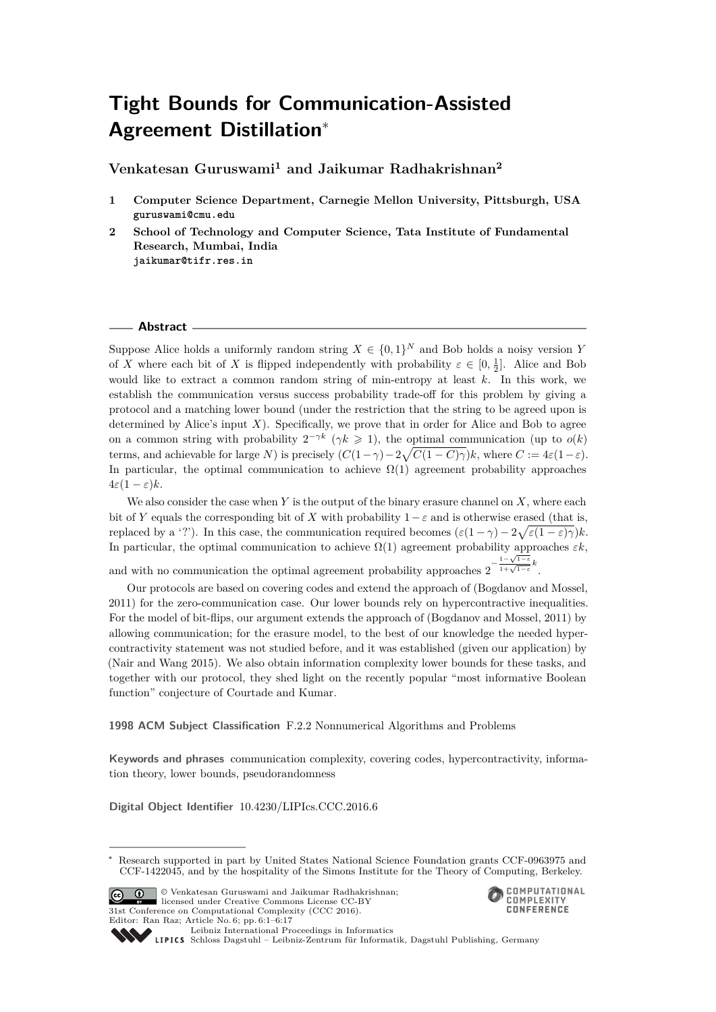# **Tight Bounds for Communication-Assisted Agreement Distillation**<sup>∗</sup>

**Venkatesan Guruswami<sup>1</sup> and Jaikumar Radhakrishnan<sup>2</sup>**

- **1 Computer Science Department, Carnegie Mellon University, Pittsburgh, USA guruswami@cmu.edu**
- **2 School of Technology and Computer Science, Tata Institute of Fundamental Research, Mumbai, India jaikumar@tifr.res.in**

#### **Abstract**

Suppose Alice holds a uniformly random string  $X \in \{0,1\}^N$  and Bob holds a noisy version *Y* of *X* where each bit of *X* is flipped independently with probability  $\varepsilon \in [0, \frac{1}{2}]$ . Alice and Bob would like to extract a common random string of min-entropy at least *k*. In this work, we establish the communication versus success probability trade-off for this problem by giving a protocol and a matching lower bound (under the restriction that the string to be agreed upon is determined by Alice's input *X*). Specifically, we prove that in order for Alice and Bob to agree on a common string with probability  $2^{-\gamma k}$  ( $\gamma k \geq 1$ ), the optimal communication (up to  $o(k)$ ) terms, and achievable for large *N*) is precisely  $(C(1 - \gamma) - 2\sqrt{C(1 - C)\gamma})k$ , where  $C := 4\varepsilon(1 - \varepsilon)$ . In particular, the optimal communication to achieve  $\Omega(1)$  agreement probability approaches  $4\varepsilon(1-\varepsilon)k$ .

We also consider the case when *Y* is the output of the binary erasure channel on *X*, where each bit of *Y* equals the corresponding bit of *X* with probability  $1-\varepsilon$  and is otherwise erased (that is, replaced by a '?'). In this case, the communication required becomes  $(\varepsilon(1-\gamma) - 2\sqrt{\varepsilon(1-\varepsilon)\gamma})k$ . In particular, the optimal communication to achieve  $\Omega(1)$  agreement probability approaches  $\varepsilon k$ , and with no communication the optimal agreement probability approaches  $2^{-\frac{1-\sqrt{1-\epsilon}}{1+\sqrt{1-\epsilon}}}$  $\frac{1-\sqrt{1-\epsilon}}{1+\sqrt{1-\epsilon}}k$ .

Our protocols are based on covering codes and extend the approach of (Bogdanov and Mossel, 2011) for the zero-communication case. Our lower bounds rely on hypercontractive inequalities. For the model of bit-flips, our argument extends the approach of (Bogdanov and Mossel, 2011) by allowing communication; for the erasure model, to the best of our knowledge the needed hypercontractivity statement was not studied before, and it was established (given our application) by (Nair and Wang 2015). We also obtain information complexity lower bounds for these tasks, and together with our protocol, they shed light on the recently popular "most informative Boolean function" conjecture of Courtade and Kumar.

#### **1998 ACM Subject Classification** F.2.2 Nonnumerical Algorithms and Problems

**Keywords and phrases** communication complexity, covering codes, hypercontractivity, information theory, lower bounds, pseudorandomness

**Digital Object Identifier** [10.4230/LIPIcs.CCC.2016.6](http://dx.doi.org/10.4230/LIPIcs.CCC.2016.6)

Research supported in part by United States National Science Foundation grants CCF-0963975 and CCF-1422045, and by the hospitality of the Simons Institute for the Theory of Computing, Berkeley.



© Venkatesan Guruswami and Jaikumar Radhakrishnan; licensed under Creative Commons License CC-BY 31st Conference on Computational Complexity (CCC 2016). Editor: Ran Raz; Article No. 6; pp. 6:1–6[:17](#page-16-0)



[Leibniz International Proceedings in Informatics](http://www.dagstuhl.de/lipics/) Leibniz international Froceedings in missimosischer Magstuhl Publishing, Germany<br>LIPICS [Schloss Dagstuhl – Leibniz-Zentrum für Informatik, Dagstuhl Publishing, Germany](http://www.dagstuhl.de)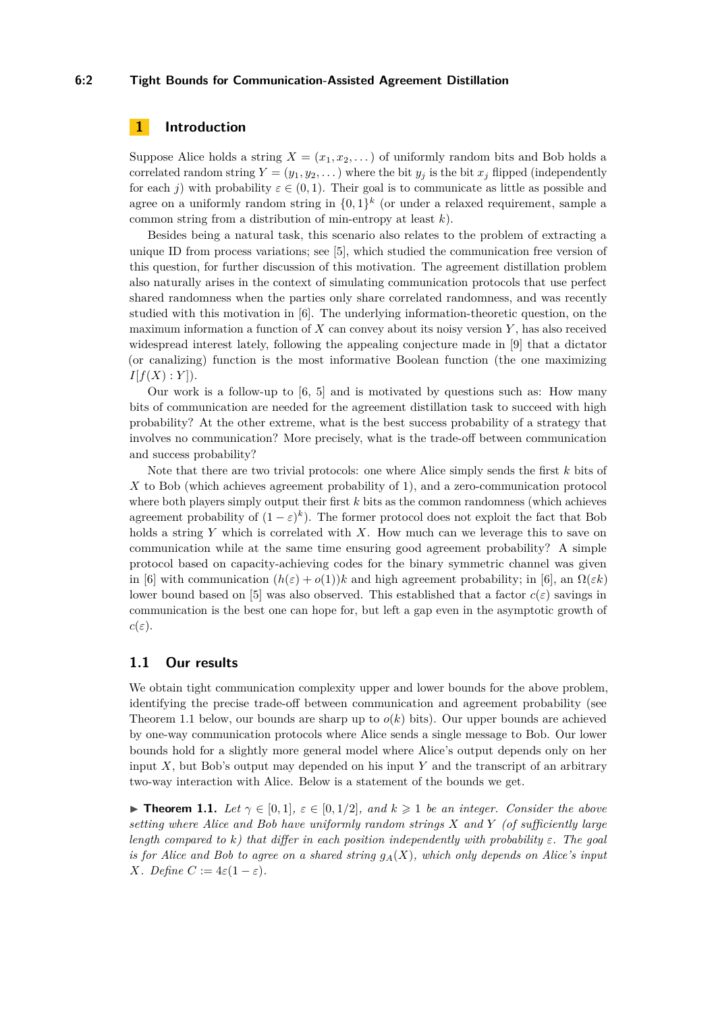#### **6:2 Tight Bounds for Communication-Assisted Agreement Distillation**

# **1 Introduction**

Suppose Alice holds a string  $X = (x_1, x_2, \dots)$  of uniformly random bits and Bob holds a correlated random string  $Y = (y_1, y_2, \dots)$  where the bit  $y_j$  is the bit  $x_j$  flipped (independently for each *j*) with probability  $\varepsilon \in (0,1)$ . Their goal is to communicate as little as possible and agree on a uniformly random string in  $\{0,1\}^k$  (or under a relaxed requirement, sample a common string from a distribution of min-entropy at least *k*).

Besides being a natural task, this scenario also relates to the problem of extracting a unique ID from process variations; see [\[5\]](#page-15-0), which studied the communication free version of this question, for further discussion of this motivation. The agreement distillation problem also naturally arises in the context of simulating communication protocols that use perfect shared randomness when the parties only share correlated randomness, and was recently studied with this motivation in [\[6\]](#page-15-1). The underlying information-theoretic question, on the maximum information a function of *X* can convey about its noisy version *Y* , has also received widespread interest lately, following the appealing conjecture made in [\[9\]](#page-16-1) that a dictator (or canalizing) function is the most informative Boolean function (the one maximizing  $I[f(X):Y].$ 

Our work is a follow-up to [\[6,](#page-15-1) [5\]](#page-15-0) and is motivated by questions such as: How many bits of communication are needed for the agreement distillation task to succeed with high probability? At the other extreme, what is the best success probability of a strategy that involves no communication? More precisely, what is the trade-off between communication and success probability?

Note that there are two trivial protocols: one where Alice simply sends the first *k* bits of *X* to Bob (which achieves agreement probability of 1), and a zero-communication protocol where both players simply output their first *k* bits as the common randomness (which achieves agreement probability of  $(1 - \varepsilon)^k$ ). The former protocol does not exploit the fact that Bob holds a string *Y* which is correlated with *X*. How much can we leverage this to save on communication while at the same time ensuring good agreement probability? A simple protocol based on capacity-achieving codes for the binary symmetric channel was given in [\[6\]](#page-15-1) with communication  $(h(\varepsilon) + o(1))k$  and high agreement probability; in [6], an  $\Omega(\varepsilon k)$ lower bound based on [\[5\]](#page-15-0) was also observed. This established that a factor  $c(\varepsilon)$  savings in communication is the best one can hope for, but left a gap even in the asymptotic growth of  $c(\varepsilon)$ .

# **1.1 Our results**

We obtain tight communication complexity upper and lower bounds for the above problem, identifying the precise trade-off between communication and agreement probability (see Theorem [1.1](#page-1-0) below, our bounds are sharp up to  $o(k)$  bits). Our upper bounds are achieved by one-way communication protocols where Alice sends a single message to Bob. Our lower bounds hold for a slightly more general model where Alice's output depends only on her input  $X$ , but Bob's output may depended on his input  $Y$  and the transcript of an arbitrary two-way interaction with Alice. Below is a statement of the bounds we get.

<span id="page-1-0"></span>**► Theorem 1.1.** *Let*  $\gamma \in [0,1]$ *,*  $\varepsilon \in [0,1/2]$ *, and*  $k \geq 1$  *be an integer. Consider the above setting where Alice and Bob have uniformly random strings X and Y (of sufficiently large length compared to*  $k$ *) that differ in each position independently with probability*  $\varepsilon$ *. The goal is for Alice and Bob to agree on a shared string*  $g_A(X)$ *, which only depends on Alice's input X. Define*  $C := 4\varepsilon(1-\varepsilon)$ *.*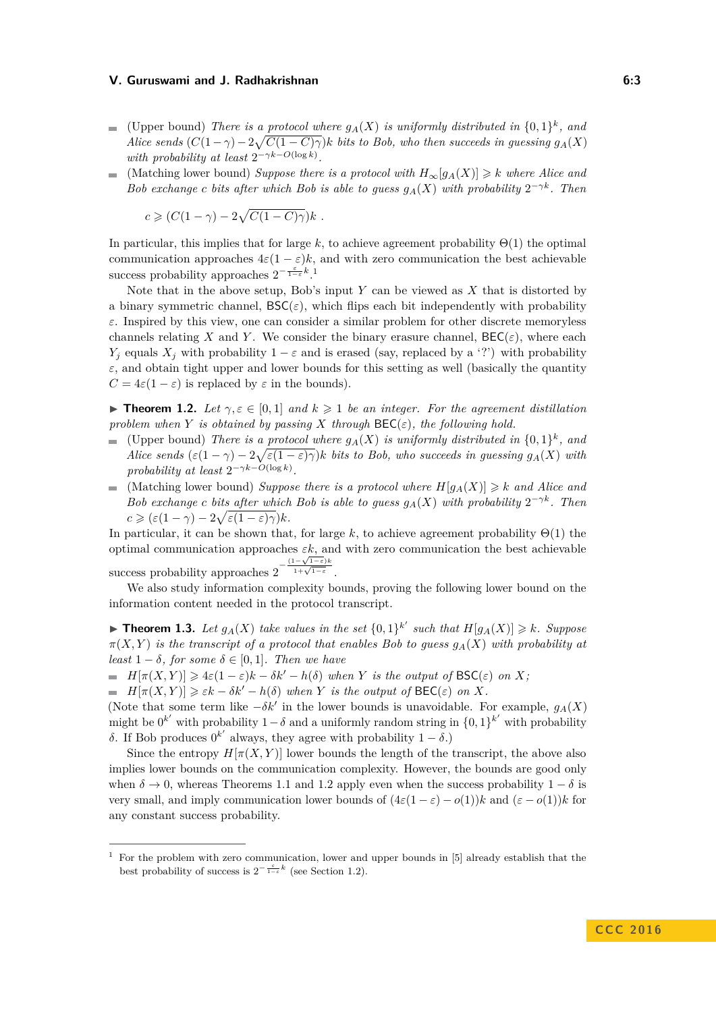- (Upper bound) *There is a protocol where*  $g_A(X)$  *is uniformly distributed in*  $\{0,1\}^k$ , and *Alice sends*  $(C(1 - \gamma) - 2\sqrt{C(1 - C)\gamma})k$  *bits to Bob, who then succeeds in guessing*  $g_A(X)$ *with probability at least*  $2^{-\gamma k - O(\log k)}$ *.*
- (Matching lower bound) *Suppose there is a protocol with*  $H_{\infty}[g_A(X)] \geq k$  where Alice and *Bob exchange c bits after which Bob is able to guess*  $g_A(X)$  *with probability*  $2^{-\gamma k}$ *. Then*

 $c \geqslant (C(1-\gamma)-2\sqrt{C(1-C)\gamma})k$ .

In particular, this implies that for large  $k$ , to achieve agreement probability  $\Theta(1)$  the optimal communication approaches  $4\varepsilon(1-\varepsilon)k$ , and with zero communication the best achievable success probability approaches  $2^{-\frac{\varepsilon}{1-\varepsilon}k}$  $2^{-\frac{\varepsilon}{1-\varepsilon}k}$  $2^{-\frac{\varepsilon}{1-\varepsilon}k}$ .<sup>1</sup>

Note that in the above setup, Bob's input *Y* can be viewed as *X* that is distorted by a binary symmetric channel,  $\mathsf{BSC}(\varepsilon)$ , which flips each bit independently with probability *ε*. Inspired by this view, one can consider a similar problem for other discrete memoryless channels relating *X* and *Y*. We consider the binary erasure channel,  $\text{BEC}(\varepsilon)$ , where each *Y<sub>j</sub>* equals *X<sub>j</sub>* with probability  $1 - \varepsilon$  and is erased (say, replaced by a '?') with probability  $\varepsilon$ , and obtain tight upper and lower bounds for this setting as well (basically the quantity  $C = 4\varepsilon(1 - \varepsilon)$  is replaced by  $\varepsilon$  in the bounds).

<span id="page-2-1"></span>**Figure 1.2.** Let  $\gamma, \varepsilon \in [0,1]$  and  $k \geq 1$  be an integer. For the agreement distillation *problem when Y is obtained by passing X through*  $\text{BEC}(\varepsilon)$ *, the following hold.* 

- (Upper bound) *There is a protocol where*  $g_A(X)$  *is uniformly distributed in*  $\{0,1\}^k$ , and  $\mathcal{L}^{\mathcal{L}}$ *Alice sends*  $(\varepsilon(1-\gamma)-2\sqrt{\varepsilon(1-\varepsilon)\gamma})k$  *bits to Bob, who succeeds in guessing*  $g_A(X)$  *with probability at least*  $2^{-\gamma k - O(\log k)}$ *.*
- (Matching lower bound) *Suppose there is a protocol where*  $H[q_A(X)] \geq k$  *and Alice and*  $\mathcal{L}_{\mathrm{max}}$ *Bob exchange c bits after which Bob is able to guess*  $g_A(X)$  *with probability*  $2^{-\gamma k}$ *. Then*  $c \geqslant (\varepsilon(1-\gamma)-2\sqrt{\varepsilon(1-\varepsilon)\gamma})k$ .

In particular, it can be shown that, for large k, to achieve agreement probability  $\Theta(1)$  the optimal communication approaches *εk*, and with zero communication the best achievable success probability approaches  $2^{-\frac{(1-\sqrt{1-\varepsilon})k}{1+\sqrt{1-\varepsilon}}}$  $\frac{1-\sqrt{1-\epsilon}}{1+\sqrt{1-\epsilon}}$ .

We also study information complexity bounds, proving the following lower bound on the information content needed in the protocol transcript.

<span id="page-2-2"></span>**Fineorem 1.3.** Let  $g_A(X)$  take values in the set  $\{0,1\}^{k'}$  such that  $H[g_A(X)] \geq k$ *. Suppose*  $\pi(X, Y)$  *is the transcript of a protocol that enables Bob to guess*  $g_A(X)$  *with probability at least*  $1 - \delta$ *, for some*  $\delta \in [0, 1]$ *. Then we have* 

 $H[\pi(X, Y)] \geq 4\varepsilon(1-\varepsilon)k - \delta k' - h(\delta)$  *when Y is the output of*  $\text{BSC}(\varepsilon)$  *on X;* 

 $H[\pi(X, Y)] \geq \varepsilon k - \delta k' - h(\delta)$  *when Y is the output of*  $\text{BEC}(\varepsilon)$  *on X*.

(Note that some term like  $-\delta k'$  in the lower bounds is unavoidable. For example,  $g_A(X)$ might be  $0^{k'}$  with probability  $1-\delta$  and a uniformly random string in  $\{0,1\}^{k'}$  with probability *δ*. If Bob produces  $0^{k'}$  always, they agree with probability 1 − *δ*.)

Since the entropy  $H[\pi(X, Y)]$  lower bounds the length of the transcript, the above also implies lower bounds on the communication complexity. However, the bounds are good only when  $\delta \to 0$ , whereas Theorems [1.1](#page-1-0) and [1.2](#page-2-1) apply even when the success probability  $1 - \delta$  is very small, and imply communication lower bounds of  $(4\varepsilon(1-\varepsilon)-o(1))k$  and  $(\varepsilon-o(1))k$  for any constant success probability.

<span id="page-2-0"></span><sup>1</sup> For the problem with zero communication, lower and upper bounds in [\[5\]](#page-15-0) already establish that the best probability of success is  $2^{-\frac{\varepsilon}{1-\varepsilon}k}$  (see Section [1.2\)](#page-3-0).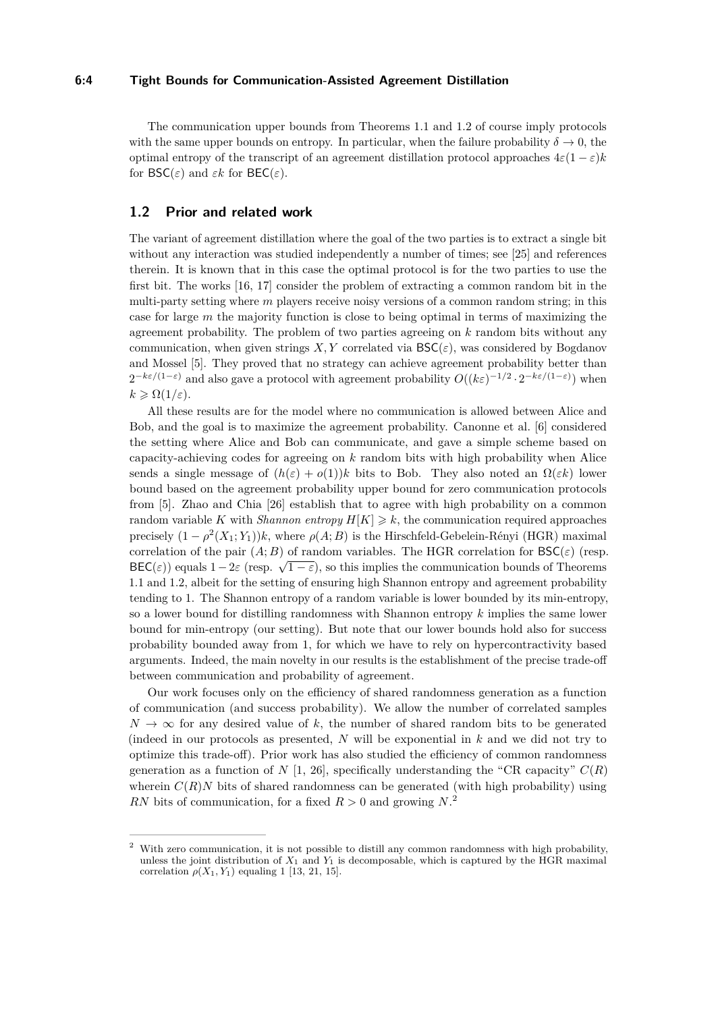#### **6:4 Tight Bounds for Communication-Assisted Agreement Distillation**

The communication upper bounds from Theorems [1.1](#page-1-0) and [1.2](#page-2-1) of course imply protocols with the same upper bounds on entropy. In particular, when the failure probability  $\delta \to 0$ , the optimal entropy of the transcript of an agreement distillation protocol approaches  $4\varepsilon(1-\varepsilon)k$ for  $\mathsf{BSC}(\varepsilon)$  and  $\varepsilon k$  for  $\mathsf{BEC}(\varepsilon)$ .

# <span id="page-3-0"></span>**1.2 Prior and related work**

The variant of agreement distillation where the goal of the two parties is to extract a single bit without any interaction was studied independently a number of times; see [\[25\]](#page-16-2) and references therein. It is known that in this case the optimal protocol is for the two parties to use the first bit. The works [\[16,](#page-16-3) [17\]](#page-16-4) consider the problem of extracting a common random bit in the multi-party setting where *m* players receive noisy versions of a common random string; in this case for large *m* the majority function is close to being optimal in terms of maximizing the agreement probability. The problem of two parties agreeing on *k* random bits without any communication, when given strings  $X, Y$  correlated via  $BSC(\varepsilon)$ , was considered by Bogdanov and Mossel [\[5\]](#page-15-0). They proved that no strategy can achieve agreement probability better than  $2^{-k\varepsilon/(1-\varepsilon)}$  and also gave a protocol with agreement probability  $O((k\varepsilon)^{-1/2} \cdot 2^{-k\varepsilon/(1-\varepsilon)})$  when  $k \geqslant \Omega(1/\varepsilon).$ 

All these results are for the model where no communication is allowed between Alice and Bob, and the goal is to maximize the agreement probability. Canonne et al. [\[6\]](#page-15-1) considered the setting where Alice and Bob can communicate, and gave a simple scheme based on capacity-achieving codes for agreeing on *k* random bits with high probability when Alice sends a single message of  $(h(\varepsilon) + o(1))k$  bits to Bob. They also noted an  $\Omega(\varepsilon k)$  lower bound based on the agreement probability upper bound for zero communication protocols from [\[5\]](#page-15-0). Zhao and Chia [\[26\]](#page-16-5) establish that to agree with high probability on a common random variable *K* with *Shannon entropy*  $H[K] \geq k$ , the communication required approaches precisely  $(1 - \rho^2(X_1; Y_1))k$ , where  $\rho(A; B)$  is the Hirschfeld-Gebelein-Rényi (HGR) maximal correlation of the pair  $(A;B)$  of random variables. The HGR correlation for  $BSC(\varepsilon)$  (resp. BEC(*ε*)) equals  $1-2\varepsilon$  (resp.  $\sqrt{1-\varepsilon}$ ), so this implies the communication bounds of Theorems [1.1](#page-1-0) and [1.2,](#page-2-1) albeit for the setting of ensuring high Shannon entropy and agreement probability tending to 1. The Shannon entropy of a random variable is lower bounded by its min-entropy, so a lower bound for distilling randomness with Shannon entropy *k* implies the same lower bound for min-entropy (our setting). But note that our lower bounds hold also for success probability bounded away from 1, for which we have to rely on hypercontractivity based arguments. Indeed, the main novelty in our results is the establishment of the precise trade-off between communication and probability of agreement.

Our work focuses only on the efficiency of shared randomness generation as a function of communication (and success probability). We allow the number of correlated samples  $N \to \infty$  for any desired value of k, the number of shared random bits to be generated (indeed in our protocols as presented, *N* will be exponential in *k* and we did not try to optimize this trade-off). Prior work has also studied the efficiency of common randomness generation as a function of *N* [\[1,](#page-15-2) [26\]](#page-16-5), specifically understanding the "CR capacity"  $C(R)$ wherein  $C(R)$ *N* bits of shared randomness can be generated (with high probability) using *RN* bits of communication, for a fixed  $R > 0$  and growing  $N^2$  $N^2$ .

<span id="page-3-1"></span><sup>2</sup> With zero communication, it is not possible to distill any common randomness with high probability, unless the joint distribution of  $X_1$  and  $Y_1$  is decomposable, which is captured by the HGR maximal correlation  $\rho(X_1, Y_1)$  equaling 1 [\[13,](#page-16-6) [21,](#page-16-7) [15\]](#page-16-8).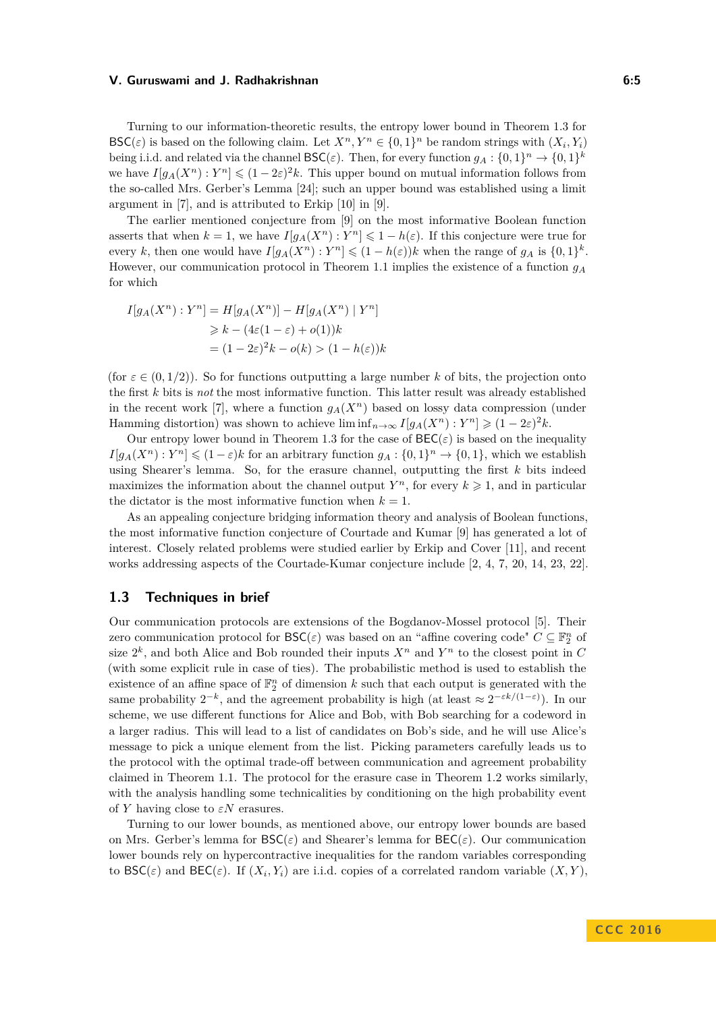Turning to our information-theoretic results, the entropy lower bound in Theorem [1.3](#page-2-2) for  $\mathsf{BSC}(\varepsilon)$  is based on the following claim. Let  $X^n, Y^n \in \{0,1\}^n$  be random strings with  $(X_i, Y_i)$ being i.i.d. and related via the channel  $\mathsf{BSC}(\varepsilon)$ . Then, for every function  $g_A: \{0,1\}^n \to \{0,1\}^k$ we have  $I[g_A(X^n):Y^n] \leq (1-2\varepsilon)^2 k$ . This upper bound on mutual information follows from the so-called Mrs. Gerber's Lemma [\[24\]](#page-16-9); such an upper bound was established using a limit argument in [\[7\]](#page-15-3), and is attributed to Erkip [\[10\]](#page-16-10) in [\[9\]](#page-16-1).

The earlier mentioned conjecture from [\[9\]](#page-16-1) on the most informative Boolean function asserts that when  $k = 1$ , we have  $I[g_A(X^n) : Y^n] \leq 1 - h(\varepsilon)$ . If this conjecture were true for every *k*, then one would have  $I[g_A(X^n): Y^n] \leq (1 - h(\varepsilon))k$  when the range of  $g_A$  is  $\{0,1\}^k$ . However, our communication protocol in Theorem [1.1](#page-1-0) implies the existence of a function *g<sup>A</sup>* for which

$$
I[g_A(X^n) : Y^n] = H[g_A(X^n)] - H[g_A(X^n) | Y^n]
$$
  
\n
$$
\ge k - (4\varepsilon(1 - \varepsilon) + o(1))k
$$
  
\n
$$
= (1 - 2\varepsilon)^2 k - o(k) > (1 - h(\varepsilon))k
$$

(for  $\varepsilon \in (0, 1/2)$ ). So for functions outputting a large number k of bits, the projection onto the first *k* bits is *not* the most informative function. This latter result was already established in the recent work [\[7\]](#page-15-3), where a function  $g_A(X^n)$  based on lossy data compression (under Hamming distortion) was shown to achieve  $\liminf_{n\to\infty} I[g_A(X^n):Y^n] \geq (1-2\varepsilon)^2 k$ .

Our entropy lower bound in Theorem [1.3](#page-2-2) for the case of  $\text{BEC}(\varepsilon)$  is based on the inequality  $I[g_A(X^n):Y^n] \leq (1-\varepsilon)k$  for an arbitrary function  $g_A: \{0,1\}^n \to \{0,1\}$ , which we establish using Shearer's lemma. So, for the erasure channel, outputting the first *k* bits indeed maximizes the information about the channel output  $Y^n$ , for every  $k \geq 1$ , and in particular the dictator is the most informative function when  $k = 1$ .

As an appealing conjecture bridging information theory and analysis of Boolean functions, the most informative function conjecture of Courtade and Kumar [\[9\]](#page-16-1) has generated a lot of interest. Closely related problems were studied earlier by Erkip and Cover [\[11\]](#page-16-11), and recent works addressing aspects of the Courtade-Kumar conjecture include [\[2,](#page-15-4) [4,](#page-15-5) [7,](#page-15-3) [20,](#page-16-12) [14,](#page-16-13) [23,](#page-16-14) [22\]](#page-16-15).

# **1.3 Techniques in brief**

Our communication protocols are extensions of the Bogdanov-Mossel protocol [\[5\]](#page-15-0). Their zero communication protocol for  $\mathsf{BSC}(\varepsilon)$  was based on an "affine covering code"  $C \subseteq \mathbb{F}_2^n$  of size  $2^k$ , and both Alice and Bob rounded their inputs  $X^n$  and  $Y^n$  to the closest point in *C* (with some explicit rule in case of ties). The probabilistic method is used to establish the existence of an affine space of  $\mathbb{F}_2^n$  of dimension k such that each output is generated with the same probability  $2^{-k}$ , and the agreement probability is high (at least  $\approx 2^{-\varepsilon k/(1-\varepsilon)}$ ). In our scheme, we use different functions for Alice and Bob, with Bob searching for a codeword in a larger radius. This will lead to a list of candidates on Bob's side, and he will use Alice's message to pick a unique element from the list. Picking parameters carefully leads us to the protocol with the optimal trade-off between communication and agreement probability claimed in Theorem [1.1.](#page-1-0) The protocol for the erasure case in Theorem [1.2](#page-2-1) works similarly, with the analysis handling some technicalities by conditioning on the high probability event of *Y* having close to *εN* erasures.

Turning to our lower bounds, as mentioned above, our entropy lower bounds are based on Mrs. Gerber's lemma for  $BSC(\varepsilon)$  and Shearer's lemma for  $BEC(\varepsilon)$ . Our communication lower bounds rely on hypercontractive inequalities for the random variables corresponding to  $\mathsf{BSC}(\varepsilon)$  and  $\mathsf{BEC}(\varepsilon)$ . If  $(X_i, Y_i)$  are i.i.d. copies of a correlated random variable  $(X, Y)$ ,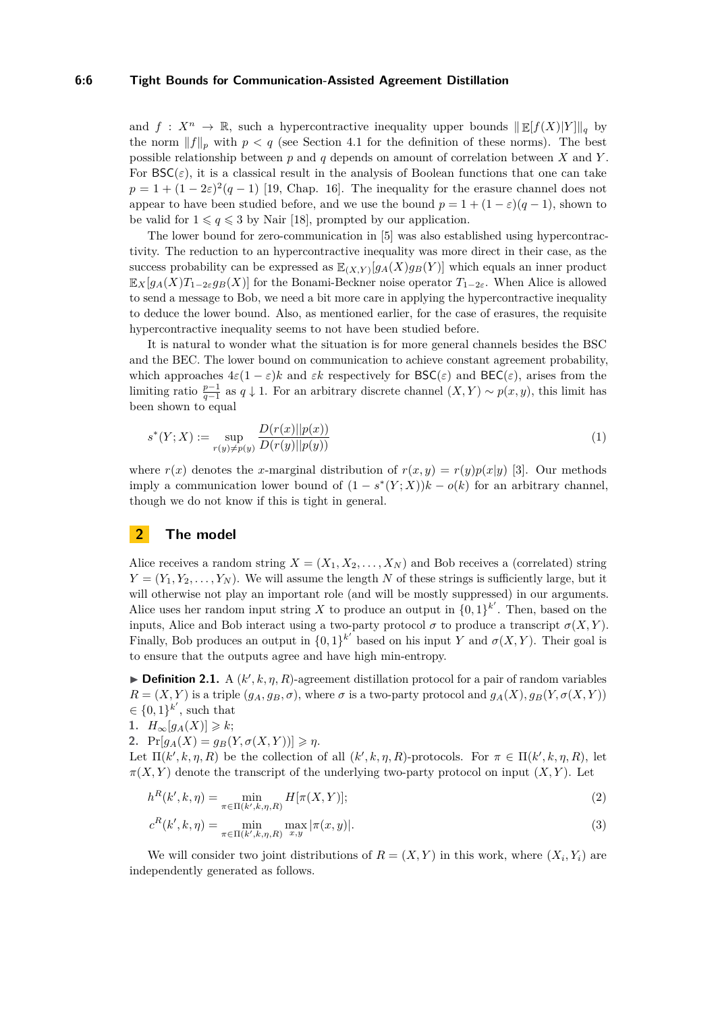#### **6:6 Tight Bounds for Communication-Assisted Agreement Distillation**

and  $f: X^n \to \mathbb{R}$ , such a hypercontractive inequality upper bounds  $\Vert \mathbb{E}[f(X)|Y] \Vert_a$  by the norm  $||f||_p$  with  $p < q$  (see Section [4.1](#page-9-0) for the definition of these norms). The best possible relationship between *p* and *q* depends on amount of correlation between *X* and *Y* . For  $\mathsf{BSC}(\varepsilon)$ , it is a classical result in the analysis of Boolean functions that one can take  $p = 1 + (1 - 2\varepsilon)^2 (q - 1)$  [\[19,](#page-16-16) Chap. 16]. The inequality for the erasure channel does not appear to have been studied before, and we use the bound  $p = 1 + (1 - \varepsilon)(q - 1)$ , shown to be valid for  $1 \leqslant q \leqslant 3$  by Nair [\[18\]](#page-16-17), prompted by our application.

The lower bound for zero-communication in [\[5\]](#page-15-0) was also established using hypercontractivity. The reduction to an hypercontractive inequality was more direct in their case, as the success probability can be expressed as  $\mathbb{E}_{(X,Y)}[g_A(X)g_B(Y)]$  which equals an inner product  $\mathbb{E}_X[g_A(X)T_{1-2\varepsilon}g_B(X)]$  for the Bonami-Beckner noise operator  $T_{1-2\varepsilon}$ . When Alice is allowed to send a message to Bob, we need a bit more care in applying the hypercontractive inequality to deduce the lower bound. Also, as mentioned earlier, for the case of erasures, the requisite hypercontractive inequality seems to not have been studied before.

It is natural to wonder what the situation is for more general channels besides the BSC and the BEC. The lower bound on communication to achieve constant agreement probability, which approaches  $4\varepsilon(1-\varepsilon)k$  and  $\varepsilon k$  respectively for  $BSC(\varepsilon)$  and  $BEC(\varepsilon)$ , arises from the limiting ratio  $\frac{p-1}{q-1}$  as  $q \downarrow 1$ . For an arbitrary discrete channel  $(X, Y) \sim p(x, y)$ , this limit has been shown to equal

<span id="page-5-0"></span>
$$
s^*(Y;X) := \sup_{r(y)\neq p(y)} \frac{D(r(x)||p(x))}{D(r(y)||p(y))}
$$
(1)

where  $r(x)$  denotes the *x*-marginal distribution of  $r(x, y) = r(y)p(x|y)$  [\[3\]](#page-15-6). Our methods imply a communication lower bound of  $(1 - s^*(Y;X))k - o(k)$  for an arbitrary channel, though we do not know if this is tight in general.

# **2 The model**

Alice receives a random string  $X = (X_1, X_2, \ldots, X_N)$  and Bob receives a (correlated) string  $Y = (Y_1, Y_2, \ldots, Y_N)$ . We will assume the length *N* of these strings is sufficiently large, but it will otherwise not play an important role (and will be mostly suppressed) in our arguments. Alice uses her random input string X to produce an output in  $\{0,1\}^{k'}$ . Then, based on the inputs, Alice and Bob interact using a two-party protocol  $\sigma$  to produce a transcript  $\sigma(X, Y)$ . Finally, Bob produces an output in  $\{0,1\}^{k'}$  based on his input *Y* and  $\sigma(X, Y)$ . Their goal is to ensure that the outputs agree and have high min-entropy.

**Definition 2.1.** A  $(k', k, \eta, R)$ -agreement distillation protocol for a pair of random variables  $R = (X, Y)$  is a triple  $(g_A, g_B, \sigma)$ , where  $\sigma$  is a two-party protocol and  $g_A(X), g_B(Y, \sigma(X, Y))$  $\in \{0,1\}^{k'}$ , such that

1. 
$$
H_{\infty}[g_A(X)] \geq k;
$$

2. 
$$
\Pr[g_A(X) = g_B(Y, \sigma(X, Y))] \geqslant \eta.
$$

Let  $\Pi(k',k,\eta,R)$  be the collection of all  $(k',k,\eta,R)$ -protocols. For  $\pi \in \Pi(k',k,\eta,R)$ , let  $\pi(X, Y)$  denote the transcript of the underlying two-party protocol on input  $(X, Y)$ . Let

$$
h^{R}(k',k,\eta) = \min_{\pi \in \Pi(k',k,\eta,R)} H[\pi(X,Y)];
$$
\n(2)

$$
c^{R}(k',k,\eta) = \min_{\pi \in \Pi(k',k,\eta,R)} \max_{x,y} |\pi(x,y)|.
$$
 (3)

We will consider two joint distributions of  $R = (X, Y)$  in this work, where  $(X_i, Y_i)$  are independently generated as follows.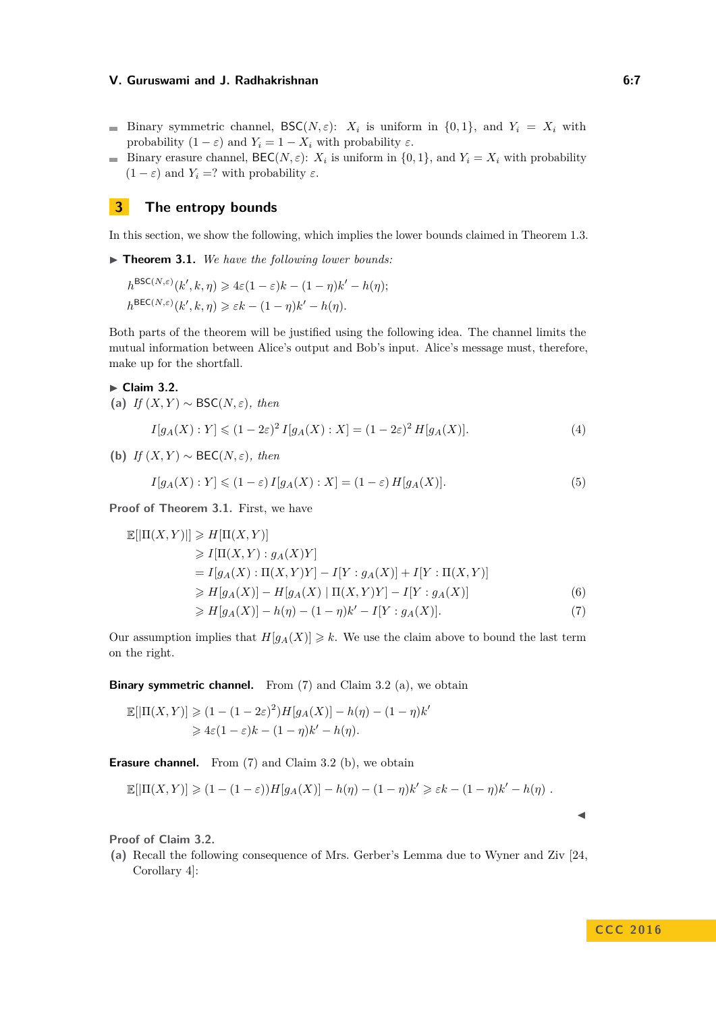- Binary symmetric channel,  $\mathsf{BSC}(N, \varepsilon)$ :  $X_i$  is uniform in  $\{0, 1\}$ , and  $Y_i = X_i$  with probability  $(1 - \varepsilon)$  and  $Y_i = 1 - X_i$  with probability  $\varepsilon$ .
- Binary erasure channel,  $\text{BEC}(N, \varepsilon)$ :  $X_i$  is uniform in  $\{0, 1\}$ , and  $Y_i = X_i$  with probability  $(1 - \varepsilon)$  and  $Y_i = ?$  with probability  $\varepsilon$ .

# **3 The entropy bounds**

In this section, we show the following, which implies the lower bounds claimed in Theorem [1.3.](#page-2-2)

<span id="page-6-0"></span>▶ **Theorem 3.1.** *We have the following lower bounds:* 

$$
h^{\text{BSC}(N,\varepsilon)}(k',k,\eta) \geq 4\varepsilon(1-\varepsilon)k - (1-\eta)k' - h(\eta);
$$
  

$$
h^{\text{BEC}(N,\varepsilon)}(k',k,\eta) \geq \varepsilon k - (1-\eta)k' - h(\eta).
$$

Both parts of the theorem will be justified using the following idea. The channel limits the mutual information between Alice's output and Bob's input. Alice's message must, therefore, make up for the shortfall.

## <span id="page-6-2"></span>► Claim 3.2.

BSC(*N,ε*)

**(a)** *If* (*X, Y* ) ∼ BSC(*N, ε*)*, then*

$$
I[g_A(X):Y] \le (1 - 2\varepsilon)^2 I[g_A(X):X] = (1 - 2\varepsilon)^2 H[g_A(X)].
$$
\n(4)

**(b)** *If* (*X, Y* ) ∼ BEC(*N, ε*)*, then*

$$
I[g_A(X):Y] \le (1-\varepsilon)I[g_A(X):X] = (1-\varepsilon)H[g_A(X)].
$$
\n(5)

**Proof of Theorem [3.1.](#page-6-0)** First, we have

$$
\mathbb{E}[|\Pi(X,Y)|] \ge H[\Pi(X,Y)]
$$
  
\n
$$
\ge I[\Pi(X,Y) : g_A(X)Y]
$$
  
\n
$$
= I[g_A(X) : \Pi(X,Y)Y] - I[Y : g_A(X)] + I[Y : \Pi(X,Y)]
$$
  
\n
$$
\ge H[g_A(X)] - H[g_A(X) | \Pi(X,Y)Y] - I[Y : g_A(X)]
$$
  
\n
$$
\ge H[g_A(X)] - h(\eta) - (1 - \eta)k' - I[Y : g_A(X)].
$$
\n(7)

Our assumption implies that  $H[g_A(X)] \geq k$ . We use the claim above to bound the last term on the right.

**Binary symmetric channel.** From [\(7\)](#page-6-1) and Claim [3.2](#page-6-2) (a), we obtain

$$
\mathbb{E}[|\Pi(X,Y)| \ge (1 - (1 - 2\varepsilon)^2)H[g_A(X)] - h(\eta) - (1 - \eta)k' \ge 4\varepsilon(1 - \varepsilon)k - (1 - \eta)k' - h(\eta).
$$

**Erasure channel.** From [\(7\)](#page-6-1) and Claim [3.2](#page-6-2) (b), we obtain

$$
\mathbb{E}[|\Pi(X,Y)| \geq (1-(1-\varepsilon))H[g_A(X)] - h(\eta) - (1-\eta)k' \geq \varepsilon k - (1-\eta)k' - h(\eta).
$$

**Proof of Claim [3.2.](#page-6-2)**

**(a)** Recall the following consequence of Mrs. Gerber's Lemma due to Wyner and Ziv [\[24,](#page-16-9) Corollary 4]:

<span id="page-6-1"></span> $\blacktriangleleft$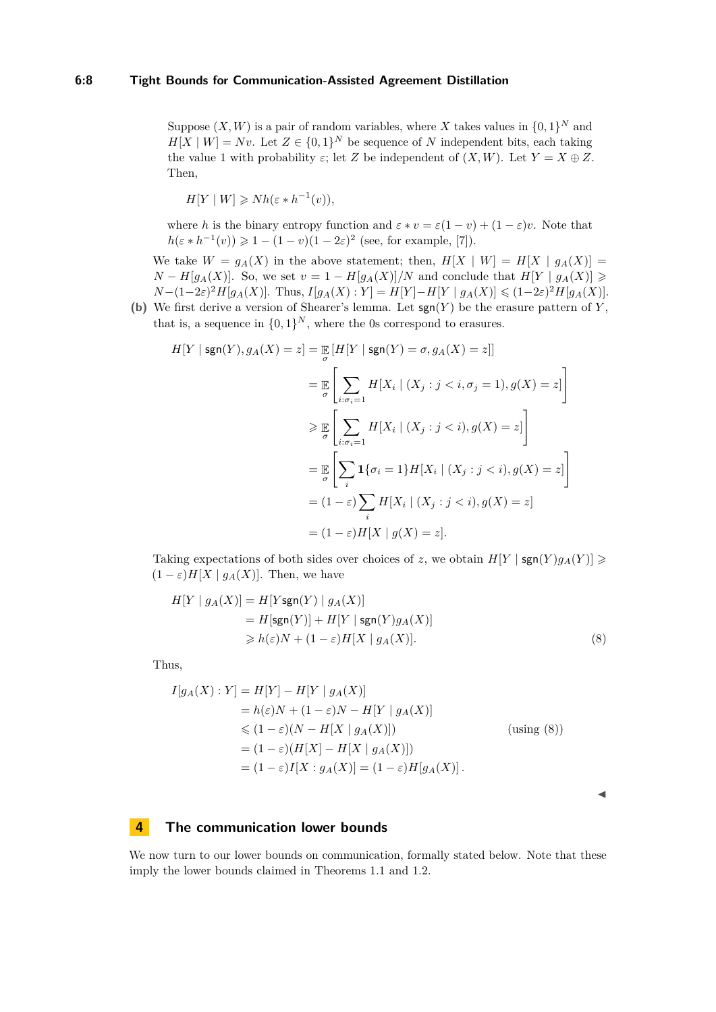## **6:8 Tight Bounds for Communication-Assisted Agreement Distillation**

Suppose  $(X, W)$  is a pair of random variables, where X takes values in  $\{0, 1\}^N$  and  $H[X \mid W] = Nv$ . Let  $Z \in \{0,1\}^N$  be sequence of *N* independent bits, each taking the value 1 with probability  $\varepsilon$ ; let *Z* be independent of  $(X, W)$ . Let  $Y = X \oplus Z$ . Then,

$$
H[Y \mid W] \geq Nh(\varepsilon*h^{-1}(v)),
$$

where *h* is the binary entropy function and  $\varepsilon * v = \varepsilon(1-v) + (1-\varepsilon)v$ . Note that  $h(\varepsilon * h^{-1}(v)) \geq 1 - (1 - v)(1 - 2\varepsilon)^2$  (see, for example, [\[7\]](#page-15-3)).

We take  $W = g_A(X)$  in the above statement; then,  $H[X \mid W] = H[X \mid g_A(X)]$ *N* − *H*[ $g_A(X)$ ]. So, we set  $v = 1 - H[g_A(X)]/N$  and conclude that  $H[Y | g_A(X)]$  >  $N-(1-2\varepsilon)^2H[g_A(X)]$ . Thus,  $I[g_A(X):Y] = H[Y]-H[Y|g_A(X)] \leq (1-2\varepsilon)^2H[g_A(X)]$ .

**(b)** We first derive a version of Shearer's lemma. Let sgn(*Y* ) be the erasure pattern of *Y* , that is, a sequence in  $\{0,1\}^N$ , where the 0s correspond to erasures.

$$
H[Y \mid \text{sgn}(Y), g_A(X) = z] = \mathop{\mathbb{E}}_{\sigma} [H[Y \mid \text{sgn}(Y) = \sigma, g_A(X) = z]]
$$
  
\n
$$
= \mathop{\mathbb{E}}_{\sigma} \left[ \sum_{i:\sigma_i=1} H[X_i \mid (X_j : j < i, \sigma_j = 1), g(X) = z] \right]
$$
  
\n
$$
\geq \mathop{\mathbb{E}}_{\sigma} \left[ \sum_{i:\sigma_i=1} H[X_i \mid (X_j : j < i), g(X) = z] \right]
$$
  
\n
$$
= \mathop{\mathbb{E}}_{\sigma} \left[ \sum_i \mathbf{1} \{ \sigma_i = 1 \} H[X_i \mid (X_j : j < i), g(X) = z] \right]
$$
  
\n
$$
= (1 - \varepsilon) \sum_i H[X_i \mid (X_j : j < i), g(X) = z]
$$
  
\n
$$
= (1 - \varepsilon) H[X \mid g(X) = z].
$$

Taking expectations of both sides over choices of *z*, we obtain  $H[Y \mid \text{sgn}(Y)g_A(Y)] \geqslant$  $(1 - \varepsilon)H[X \mid g_A(X)]$ . Then, we have

$$
H[Y \mid g_A(X)] = H[Ysgn(Y) \mid g_A(X)]
$$
  
=  $H[sgn(Y)] + H[Y \mid sgn(Y)g_A(X)]$   

$$
\geq h(\varepsilon)N + (1 - \varepsilon)H[X \mid g_A(X)].
$$
 (8)

Thus,

$$
I[g_A(X):Y] = H[Y] - H[Y | g_A(X)]
$$
  
\n
$$
= h(\varepsilon)N + (1 - \varepsilon)N - H[Y | g_A(X)]
$$
  
\n
$$
\leq (1 - \varepsilon)(N - H[X | g_A(X)])
$$
 (using (8))  
\n
$$
= (1 - \varepsilon)(H[X] - H[X | g_A(X)])
$$
  
\n
$$
= (1 - \varepsilon)I[X : g_A(X)] = (1 - \varepsilon)H[g_A(X)].
$$

<span id="page-7-0"></span>J

## **4 The communication lower bounds**

We now turn to our lower bounds on communication, formally stated below. Note that these imply the lower bounds claimed in Theorems [1.1](#page-1-0) and [1.2.](#page-2-1)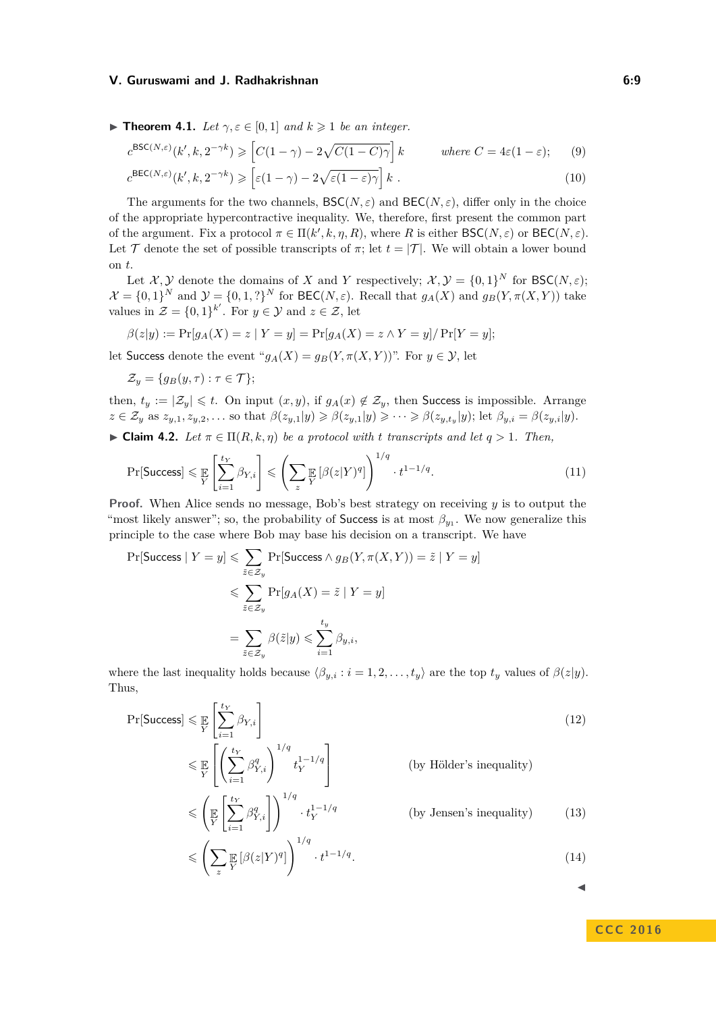**Findmerger 1.1.** Let  $\gamma, \varepsilon \in [0,1]$  and  $k \geq 1$  be an integer.

<span id="page-8-2"></span><span id="page-8-1"></span>
$$
c^{\text{BSC}(N,\varepsilon)}(k',k,2^{-\gamma k}) \geqslant \left[C(1-\gamma)-2\sqrt{C(1-C)\gamma}\right]k \qquad \text{where } C = 4\varepsilon(1-\varepsilon); \qquad (9)
$$

$$
c^{\text{BEC}(N,\varepsilon)}(k',k,2^{-\gamma k}) \geqslant \left[\varepsilon(1-\gamma)-2\sqrt{\varepsilon(1-\varepsilon)\gamma}\right]k \qquad (10)
$$

The arguments for the two channels, 
$$
\mathsf{BSC}(N,\varepsilon)
$$
 and  $\mathsf{BEC}(N,\varepsilon)$ , differ only in the choice of the appropriate hypercontractive inequality. We, therefore, first present the common part of the argument. Fix a protocol  $\pi \in \Pi(k',k,\eta,R)$ , where R is either  $\mathsf{BSC}(N,\varepsilon)$  or  $\mathsf{BEC}(N,\varepsilon)$ .

Let T denote the set of possible transcripts of  $\pi$ ; let  $t = |\mathcal{T}|$ . We will obtain a lower bound on *t*.

Let  $\mathcal{X}, \mathcal{Y}$  denote the domains of *X* and *Y* respectively;  $\mathcal{X}, \mathcal{Y} = \{0, 1\}^N$  for  $\mathsf{BSC}(N, \varepsilon)$ ;  $\mathcal{X} = \{0,1\}^N$  and  $\mathcal{Y} = \{0,1,?\}^N$  for  $\mathsf{BEC}(N,\varepsilon)$ . Recall that  $g_A(X)$  and  $g_B(Y,\pi(X,Y))$  take values in  $\mathcal{Z} = \{0,1\}^{k'}$ . For  $y \in \mathcal{Y}$  and  $z \in \mathcal{Z}$ , let

$$
\beta(z|y) := \Pr[g_A(X) = z \mid Y = y] = \Pr[g_A(X) = z \land Y = y] / \Pr[Y = y];
$$

let Success denote the event " $g_A(X) = g_B(Y, \pi(X, Y))$ ". For  $y \in \mathcal{Y}$ , let

<span id="page-8-0"></span>
$$
\mathcal{Z}_y = \{g_B(y,\tau) : \tau \in \mathcal{T}\};
$$

*z*

then,  $t_y := |\mathcal{Z}_y| \leq t$ . On input  $(x, y)$ , if  $g_A(x) \notin \mathcal{Z}_y$ , then Success is impossible. Arrange  $z \in \mathcal{Z}_y$  as  $z_{y,1}, z_{y,2}, \ldots$  so that  $\beta(z_{y,1}|y) \geq \beta(z_{y,1}|y) \geq \cdots \geq \beta(z_{y,t_y}|y)$ ; let  $\beta_{y,i} = \beta(z_{y,i}|y)$ .

▶ Claim 4.2. Let 
$$
\pi \in \Pi(R, k, \eta)
$$
 be a protocol with t transcripts and let  $q > 1$ . Then,

$$
\Pr[\text{Success}] \leq \mathbb{E}\left[\sum_{i=1}^{t_Y} \beta_{Y,i}\right] \leq \left(\sum_z \mathbb{E}\left[\beta(z|Y)^q\right]\right)^{1/q} \cdot t^{1-1/q}.\tag{11}
$$

**Proof.** When Alice sends no message, Bob's best strategy on receiving *y* is to output the "most likely answer"; so, the probability of Success is at most  $\beta_{y_1}$ . We now generalize this principle to the case where Bob may base his decision on a transcript. We have

$$
\Pr[\text{Success} \mid Y = y] \leqslant \sum_{\tilde{z} \in \mathcal{Z}_y} \Pr[\text{Success} \land g_B(Y, \pi(X, Y)) = \tilde{z} \mid Y = y] \\
\leqslant \sum_{\tilde{z} \in \mathcal{Z}_y} \Pr[g_A(X) = \tilde{z} \mid Y = y] \\
= \sum_{\tilde{z} \in \mathcal{Z}_y} \beta(\tilde{z}|y) \leqslant \sum_{i=1}^{t_y} \beta_{y,i},
$$

where the last inequality holds because  $\langle \beta_{y,i} : i = 1, 2, \ldots, t_y \rangle$  are the top  $t_y$  values of  $\beta(z|y)$ . Thus,

 $Pr[\mathsf{Success}] \leqslant \frac{p}{Y}$  $\int \frac{t_Y}{\sqrt{2}}$ *i*=1  $\beta_{Y,i}$ (12)  $\leqslant \frac{p}{Y}$  $\lceil$  $\left| \left( \sum_{i=1}^{t_Y} \right)$ *i*=1  $\beta_{Y,i}^q \bigg)^{1/q} t_Y^{1-1/q}$ *Y* 1 (by Hölder's inequality)  $\leqslant$ E *Y*  $\int \frac{t_Y}{\sum}$ *i*=1  $\beta_{Y,i}^q\bigg]\bigg)^{1/q}\cdot t_Y^{1-1/q}$ *Y* (by Jensen's inequality) (13)  $\leqslant$   $\left( \nabla$  $\mathbb{E}_{Y} \left[ \beta(z|Y)^q \right]$  $\lambda^{1/q}$ · *t* 1−1*/q .* (14)

**C C C 2 0 1 6**

 $\blacktriangleleft$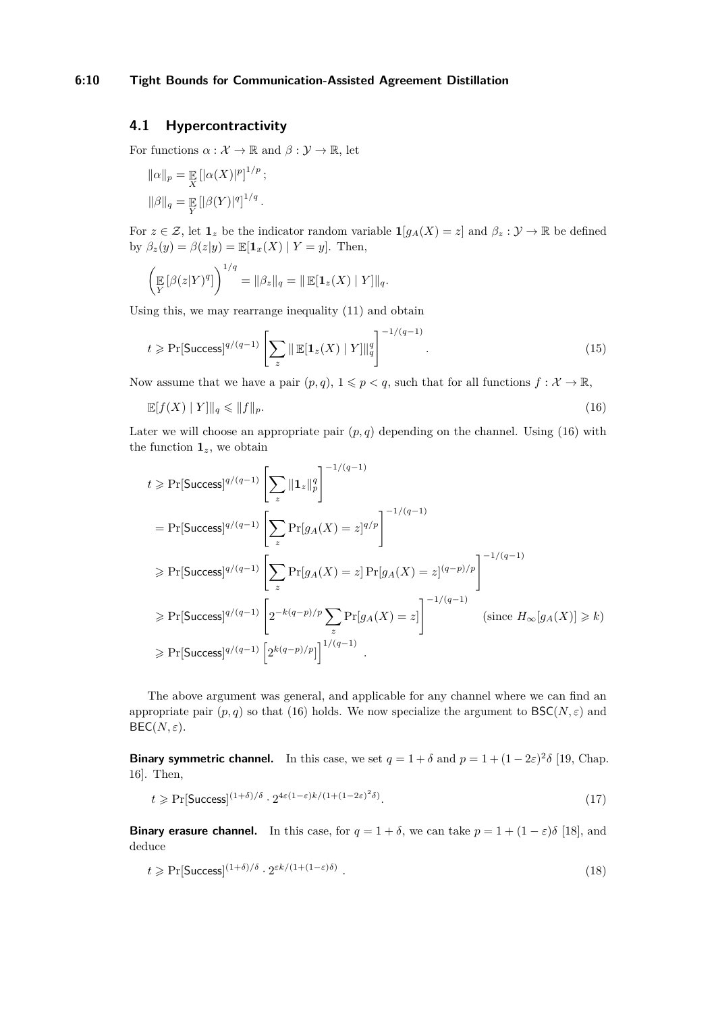# <span id="page-9-0"></span>**4.1 Hypercontractivity**

For functions  $\alpha : \mathcal{X} \to \mathbb{R}$  and  $\beta : \mathcal{Y} \to \mathbb{R}$ , let

$$
\|\alpha\|_{p} = \mathbb{E}_{X} [|\alpha(X)|^{p}]^{1/p};
$$
  

$$
\|\beta\|_{q} = \mathbb{E}_{Y} [|\beta(Y)|^{q}]^{1/q}.
$$

For  $z \in \mathcal{Z}$ , let  $\mathbf{1}_z$  be the indicator random variable  $\mathbf{1}[g_A(X) = z]$  and  $\beta_z : \mathcal{Y} \to \mathbb{R}$  be defined by  $\beta_z(y) = \beta(z|y) = \mathbb{E}[\mathbf{1}_x(X) | Y = y]$ . Then,

$$
\left(\mathop{\mathbb{E}}_{Y}[\beta(z|Y)^{q}]\right)^{1/q} = \|\beta_{z}\|_{q} = \|\mathop{\mathbb{E}}[\mathbf{1}_{z}(X) \mid Y]\|_{q}.
$$

Using this, we may rearrange inequality [\(11\)](#page-8-0) and obtain

<span id="page-9-1"></span>
$$
t \geqslant \Pr[\text{Success}]^{q/(q-1)} \left[ \sum_{z} \|\mathbb{E}[\mathbf{1}_z(X) \mid Y] \|_q^q \right]^{-1/(q-1)}.
$$
 (15)

Now assume that we have a pair  $(p, q)$ ,  $1 \leq p < q$ , such that for all functions  $f : \mathcal{X} \to \mathbb{R}$ ,

$$
\mathbb{E}[f(X) \mid Y] \|_q \leq \|f\|_p. \tag{16}
$$

Later we will choose an appropriate pair  $(p, q)$  depending on the channel. Using  $(16)$  with the function  $\mathbf{1}_z$ , we obtain

$$
t \geqslant \Pr[\text{Success}]^{q/(q-1)} \left[ \sum_{z} ||\mathbf{1}_{z}||_{p}^{q} \right]^{-1/(q-1)}
$$
\n
$$
= \Pr[\text{Success}]^{q/(q-1)} \left[ \sum_{z} \Pr[g_{A}(X) = z]^{q/p} \right]^{-1/(q-1)}
$$
\n
$$
\geqslant \Pr[\text{Success}]^{q/(q-1)} \left[ \sum_{z} \Pr[g_{A}(X) = z] \Pr[g_{A}(X) = z]^{(q-p)/p} \right]^{-1/(q-1)}
$$
\n
$$
\geqslant \Pr[\text{Success}]^{q/(q-1)} \left[ 2^{-k(q-p)/p} \sum_{z} \Pr[g_{A}(X) = z] \right]^{-1/(q-1)} \qquad (\text{since } H_{\infty}[g_{A}(X)] \geqslant k)
$$
\n
$$
\geqslant \Pr[\text{Success}]^{q/(q-1)} \left[ 2^{k(q-p)/p} \right]^{1/(q-1)}.
$$

The above argument was general, and applicable for any channel where we can find an appropriate pair  $(p, q)$  so that [\(16\)](#page-9-1) holds. We now specialize the argument to  $\mathsf{BSC}(N, \varepsilon)$  and  $\mathsf{BEC}(N,\varepsilon)$ .

**Binary symmetric channel.** In this case, we set  $q = 1 + \delta$  and  $p = 1 + (1 - 2\varepsilon)^2 \delta$  [\[19,](#page-16-16) Chap. 16]. Then,

<span id="page-9-2"></span>
$$
t \ge \Pr[\text{Success}]^{(1+\delta)/\delta} \cdot 2^{4\varepsilon(1-\varepsilon)k/(1+(1-2\varepsilon)^2\delta)}.\tag{17}
$$

**Binary erasure channel.** In this case, for  $q = 1 + \delta$ , we can take  $p = 1 + (1 - \varepsilon)\delta$  [\[18\]](#page-16-17), and deduce

<span id="page-9-3"></span>
$$
t \geqslant \Pr[\text{Success}]^{(1+\delta)/\delta} \cdot 2^{\varepsilon k/(1+(1-\varepsilon)\delta)} \ . \tag{18}
$$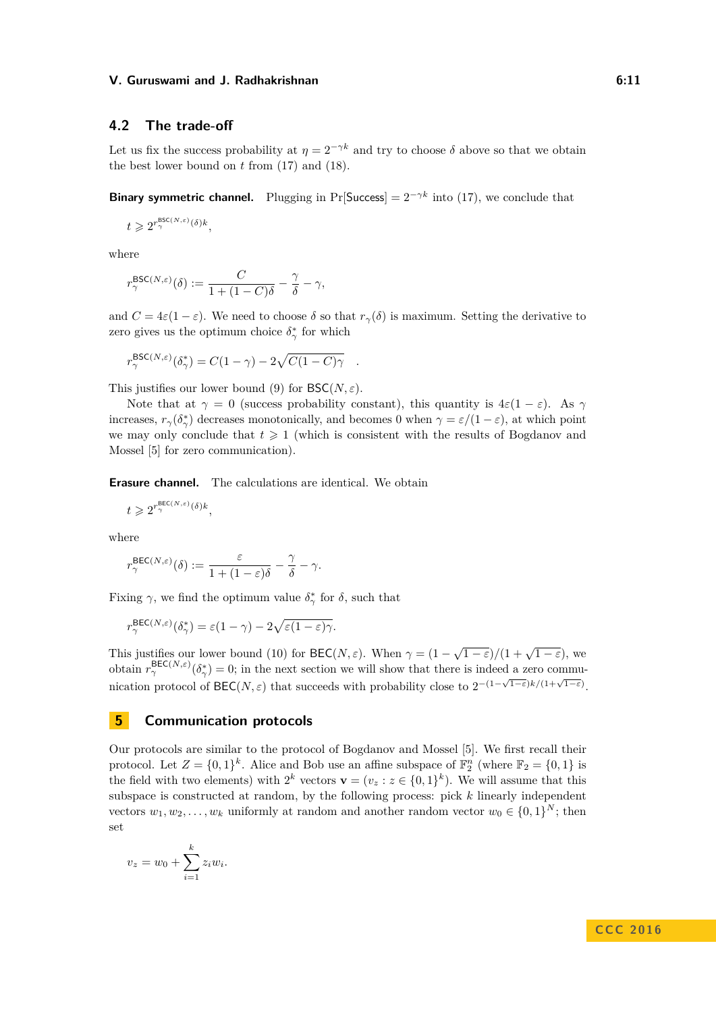# **4.2 The trade-off**

Let us fix the success probability at  $\eta = 2^{-\gamma k}$  and try to choose  $\delta$  above so that we obtain the best lower bound on *t* from [\(17\)](#page-9-2) and [\(18\)](#page-9-3).

**Binary symmetric channel.** Plugging in Pr[Success] =  $2^{-\gamma k}$  into [\(17\)](#page-9-2), we conclude that

$$
t \geqslant 2^{r_{\gamma}^{\text{BSC}(N,\varepsilon)}(\delta)k},
$$

where

$$
r_{\gamma}^{\mathsf{BSC}(N,\varepsilon)}(\delta) := \frac{C}{1 + (1 - C)\delta} - \frac{\gamma}{\delta} - \gamma,
$$

and  $C = 4\varepsilon(1-\varepsilon)$ . We need to choose  $\delta$  so that  $r_\gamma(\delta)$  is maximum. Setting the derivative to zero gives us the optimum choice  $\delta^*_{\gamma}$  for which

$$
r_{\gamma}^{\text{BSC}(N,\varepsilon)}(\delta_{\gamma}^*) = C(1-\gamma) - 2\sqrt{C(1-C)\gamma} .
$$

This justifies our lower bound [\(9\)](#page-8-1) for  $BSC(N, \varepsilon)$ .

Note that at  $\gamma = 0$  (success probability constant), this quantity is  $4\varepsilon(1-\varepsilon)$ . As  $\gamma$ increases,  $r_\gamma(\delta^*_\gamma)$  decreases monotonically, and becomes 0 when  $\gamma = \varepsilon/(1-\varepsilon)$ , at which point we may only conclude that  $t \geq 1$  (which is consistent with the results of Bogdanov and Mossel [\[5\]](#page-15-0) for zero communication).

**Erasure channel.** The calculations are identical. We obtain

$$
t \geqslant 2^{r_{\gamma}^{\text{BEC}(N,\varepsilon)}(\delta)k},
$$

where

$$
r_\gamma^{\text{BEC}(N,\varepsilon)}(\delta):=\frac{\varepsilon}{1+(1-\varepsilon)\delta}-\frac{\gamma}{\delta}-\gamma.
$$

Fixing  $\gamma$ , we find the optimum value  $\delta^*_{\gamma}$  for  $\delta$ , such that

$$
r_{\gamma}^{\text{BEC}(N,\varepsilon)}(\delta_{\gamma}^*) = \varepsilon(1-\gamma) - 2\sqrt{\varepsilon(1-\varepsilon)\gamma}.
$$

This justifies our lower bound [\(10\)](#page-8-2) for  $\text{BEC}(N, \varepsilon)$ . When  $\gamma = (1 - \sqrt{1 - \varepsilon})/(1 + \sqrt{1 - \varepsilon})$ , we obtain  $r_{\gamma}^{\text{BEC}(N,\varepsilon)}(\delta_{\gamma}^{*})=0$ ; in the next section we will show that there is indeed a zero communication protocol of BEC( $N, \varepsilon$ ) that succeeds with probability close to  $2^{-(1-\sqrt{1-\varepsilon})k/(1+\sqrt{1-\varepsilon})}$ .

# **5 Communication protocols**

Our protocols are similar to the protocol of Bogdanov and Mossel [\[5\]](#page-15-0). We first recall their protocol. Let  $Z = \{0, 1\}^k$ . Alice and Bob use an affine subspace of  $\mathbb{F}_2^n$  (where  $\mathbb{F}_2 = \{0, 1\}$  is the field with two elements) with  $2^k$  vectors  $\mathbf{v} = (v_z : z \in \{0,1\}^k)$ . We will assume that this subspace is constructed at random, by the following process: pick *k* linearly independent vectors  $w_1, w_2, \ldots, w_k$  uniformly at random and another random vector  $w_0 \in \{0, 1\}^N$ ; then set

$$
v_z = w_0 + \sum_{i=1}^k z_i w_i.
$$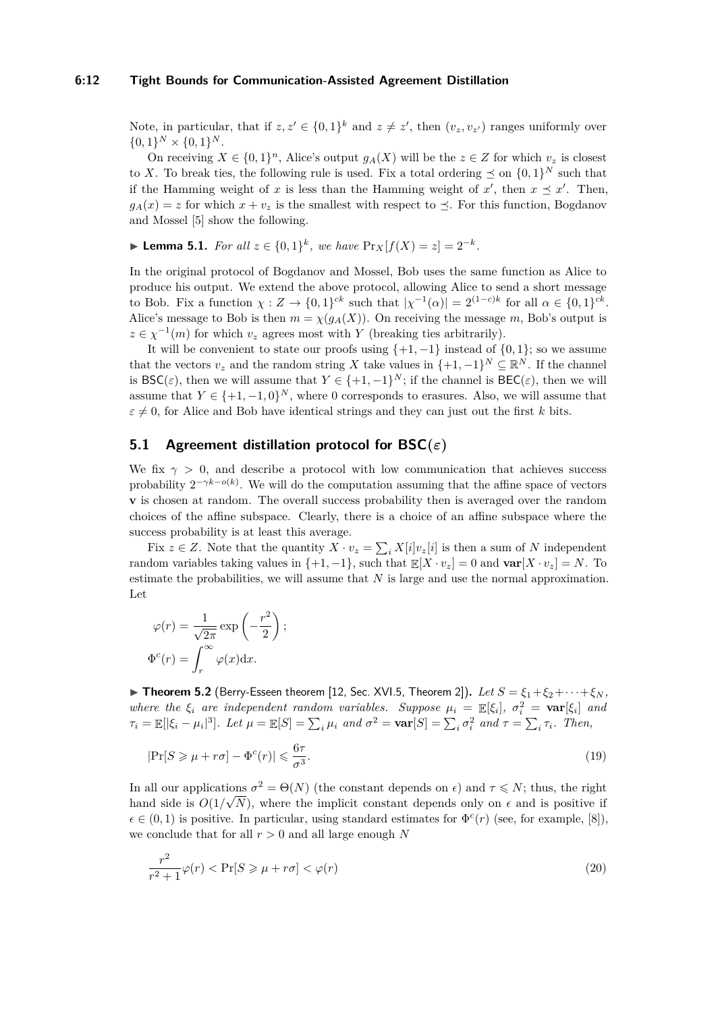#### **6:12 Tight Bounds for Communication-Assisted Agreement Distillation**

Note, in particular, that if  $z, z' \in \{0, 1\}^k$  and  $z \neq z'$ , then  $(v_z, v_{z'})$  ranges uniformly over  $\{0,1\}^N \times \{0,1\}^N$ .

On receiving  $X \in \{0,1\}^n$ , Alice's output  $g_A(X)$  will be the  $z \in Z$  for which  $v_z$  is closest to *X*. To break ties, the following rule is used. Fix a total ordering  $\preceq$  on  $\{0,1\}^N$  such that if the Hamming weight of *x* is less than the Hamming weight of  $x'$ , then  $x \leq x'$ . Then,  $g_A(x) = z$  for which  $x + v_z$  is the smallest with respect to  $\prec$ . For this function, Bogdanov and Mossel [\[5\]](#page-15-0) show the following.

► **Lemma 5.1.** *For all*  $z \in \{0,1\}^k$ , *we have*  $\Pr_X[f(X) = z] = 2^{-k}$ *.* 

In the original protocol of Bogdanov and Mossel, Bob uses the same function as Alice to produce his output. We extend the above protocol, allowing Alice to send a short message to Bob. Fix a function  $\chi: Z \to \{0,1\}^{ck}$  such that  $|\chi^{-1}(\alpha)| = 2^{(1-c)k}$  for all  $\alpha \in \{0,1\}^{ck}$ . Alice's message to Bob is then  $m = \chi(g_A(X))$ . On receiving the message *m*, Bob's output is  $z \in \chi^{-1}(m)$  for which  $v_z$  agrees most with *Y* (breaking ties arbitrarily).

It will be convenient to state our proofs using  $\{+1, -1\}$  instead of  $\{0, 1\}$ ; so we assume that the vectors  $v_z$  and the random string *X* take values in  $\{+1, -1\}^N \subseteq \mathbb{R}^N$ . If the channel is  $\mathsf{BSC}(\varepsilon)$ , then we will assume that  $Y \in \{+1, -1\}^N$ ; if the channel is  $\mathsf{BEC}(\varepsilon)$ , then we will assume that  $Y \in \{+1, -1, 0\}^N$ , where 0 corresponds to erasures. Also, we will assume that  $\varepsilon \neq 0$ , for Alice and Bob have identical strings and they can just out the first *k* bits.

# **5.1 Agreement distillation protocol for BSC(***ε***)**

We fix  $\gamma > 0$ , and describe a protocol with low communication that achieves success probability  $2^{-\gamma k - o(k)}$ . We will do the computation assuming that the affine space of vectors **v** is chosen at random. The overall success probability then is averaged over the random choices of the affine subspace. Clearly, there is a choice of an affine subspace where the success probability is at least this average.

Fix  $z \in Z$ . Note that the quantity  $X \cdot v_z = \sum_i X[i]v_z[i]$  is then a sum of *N* independent random variables taking values in  $\{+1, -1\}$ , such that  $\mathbb{E}[X \cdot v_z] = 0$  and  $\text{var}[X \cdot v_z] = N$ . To estimate the probabilities, we will assume that *N* is large and use the normal approximation. Let

$$
\varphi(r) = \frac{1}{\sqrt{2\pi}} \exp\left(-\frac{r^2}{2}\right);
$$

$$
\Phi^c(r) = \int_r^\infty \varphi(x) dx.
$$

**Findment 5.2** (Berry-Esseen theorem [\[12,](#page-16-18) Sec. XVI.5, Theorem 2]). Let  $S = \xi_1 + \xi_2 + \cdots + \xi_N$ *where the*  $\xi_i$  *are independent random variables. Suppose*  $\mu_i = \mathbb{E}[\xi_i]$ ,  $\sigma_i^2 = \text{var}[\xi_i]$  *and*  $\tau_i = \mathbb{E}[|\xi_i - \mu_i|^3]$ . Let  $\mu = \mathbb{E}[S] = \sum_i \mu_i$  and  $\sigma^2 = \textbf{var}[S] = \sum_i \sigma_i^2$  and  $\tau = \sum_i \tau_i$ . Then,

$$
|\Pr[S \ge \mu + r\sigma] - \Phi^c(r)| \le \frac{6\tau}{\sigma^3}.\tag{19}
$$

In all our applications  $\sigma^2 = \Theta(N)$  (the constant depends on  $\epsilon$ ) and  $\tau \le N$ ; thus, the right hand side is  $O(1/\sqrt{N})$ , where the implicit constant depends only on  $\epsilon$  and is positive if  $\epsilon \in (0,1)$  is positive. In particular, using standard estimates for  $\Phi^c(r)$  (see, for example, [\[8\]](#page-15-7)), we conclude that for all *r >* 0 and all large enough *N*

$$
\frac{r^2}{r^2+1}\varphi(r) < \Pr[S \ge \mu + r\sigma] < \varphi(r) \tag{20}
$$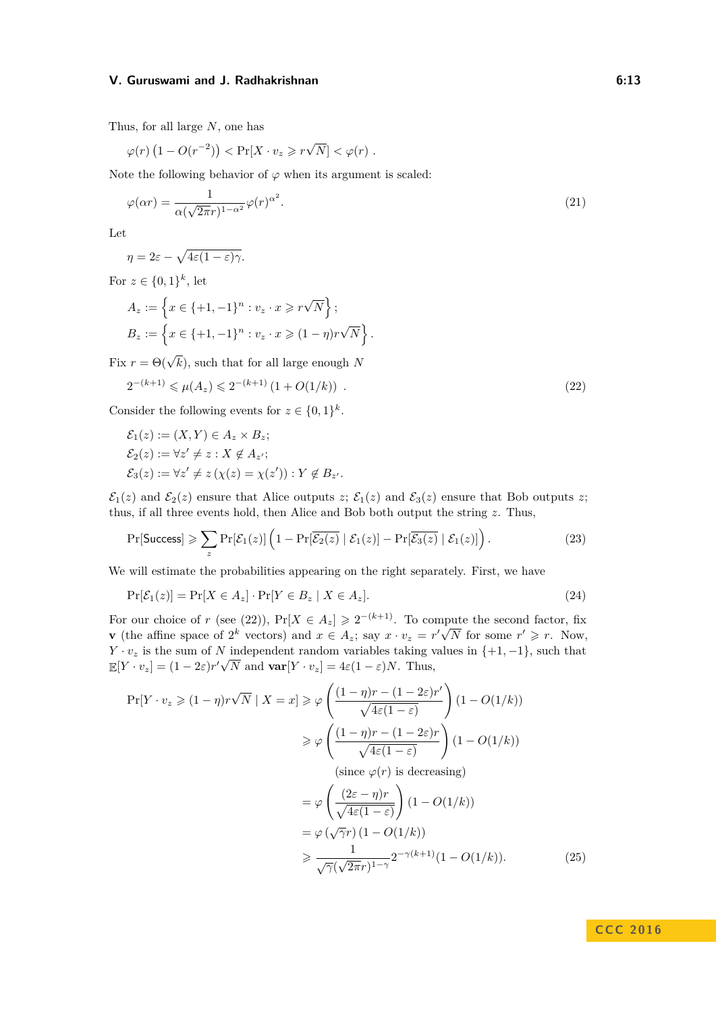Thus, for all large *N*, one has

<span id="page-12-2"></span>
$$
\varphi(r)\left(1 - O(r^{-2})\right) < \Pr[X \cdot v_z \geqslant r\sqrt{N}] < \varphi(r) \; .
$$

Note the following behavior of  $\varphi$  when its argument is scaled:

$$
\varphi(\alpha r) = \frac{1}{\alpha(\sqrt{2\pi}r)^{1-\alpha^2}} \varphi(r)^{\alpha^2}.
$$
\n(21)

Let

$$
\eta = 2\varepsilon - \sqrt{4\varepsilon(1-\varepsilon)\gamma}.
$$

For  $z \in \{0,1\}^k$ , let

$$
A_z := \left\{ x \in \{+1, -1\}^n : v_z \cdot x \geqslant r\sqrt{N} \right\};
$$
  

$$
B_z := \left\{ x \in \{+1, -1\}^n : v_z \cdot x \geqslant (1 - \eta)r\sqrt{N} \right\}.
$$

Fix  $r = \Theta(\sqrt{k})$ , such that for all large enough *N* 

<span id="page-12-0"></span>
$$
2^{-(k+1)} \leq \mu(A_z) \leq 2^{-(k+1)} \left(1 + O(1/k)\right) \tag{22}
$$

Consider the following events for  $z \in \{0,1\}^k$ .

$$
\mathcal{E}_1(z) := (X, Y) \in A_z \times B_z;
$$
  
\n
$$
\mathcal{E}_2(z) := \forall z' \neq z : X \notin A_{z'};
$$
  
\n
$$
\mathcal{E}_3(z) := \forall z' \neq z (\chi(z) = \chi(z')) : Y \notin B_{z'}.
$$

 $\mathcal{E}_1(z)$  and  $\mathcal{E}_2(z)$  ensure that Alice outputs *z*;  $\mathcal{E}_1(z)$  and  $\mathcal{E}_3(z)$  ensure that Bob outputs *z*; thus, if all three events hold, then Alice and Bob both output the string *z*. Thus,

<span id="page-12-3"></span>
$$
\Pr[\text{Success}] \geqslant \sum_{z} \Pr[\mathcal{E}_1(z)] \left( 1 - \Pr[\overline{\mathcal{E}_2(z)} \mid \mathcal{E}_1(z)] - \Pr[\overline{\mathcal{E}_3(z)} \mid \mathcal{E}_1(z)] \right). \tag{23}
$$

We will estimate the probabilities appearing on the right separately. First, we have

<span id="page-12-1"></span>
$$
\Pr[\mathcal{E}_1(z)] = \Pr[X \in A_z] \cdot \Pr[Y \in B_z \mid X \in A_z]. \tag{24}
$$

For our choice of *r* (see [\(22\)](#page-12-0)),  $Pr[X \in A_z] \geq 2^{-(k+1)}$ . To compute the second factor, fix **v** (the affine space of 2<sup>*k*</sup> vectors) and  $x \in A_z$ ; say  $x \cdot v_z = r' \sqrt{ }$  $\overline{N}$  for some  $r' \geq r$ . Now,  $Y \cdot v_z$  is the sum of *N* independent random variables taking values in  $\{+1, -1\}$ , such that  $\mathbb{E}[Y \cdot v_z] = (1 - 2\varepsilon)r'\sqrt{N}$  and  $\textbf{var}[Y \cdot v_z] = 4\varepsilon(1 - \varepsilon)N$ . Thus,

<span id="page-12-4"></span>
$$
\Pr[Y \cdot v_z \geq (1 - \eta)r\sqrt{N} \mid X = x] \geq \varphi\left(\frac{(1 - \eta)r - (1 - 2\varepsilon)r'}{\sqrt{4\varepsilon(1 - \varepsilon)}}\right)(1 - O(1/k))
$$

$$
\geq \varphi\left(\frac{(1 - \eta)r - (1 - 2\varepsilon)r}{\sqrt{4\varepsilon(1 - \varepsilon)}}\right)(1 - O(1/k))
$$

$$
\text{(since } \varphi(r) \text{ is decreasing})
$$

$$
= \varphi\left(\frac{(2\varepsilon - \eta)r}{\sqrt{4\varepsilon(1 - \varepsilon)}}\right)(1 - O(1/k))
$$

$$
= \varphi(\sqrt{\gamma}r)(1 - O(1/k))
$$

$$
\geq \frac{1}{\sqrt{\gamma}(\sqrt{2\pi}r)^{1 - \gamma}}2^{-\gamma(k+1)}(1 - O(1/k)). \tag{25}
$$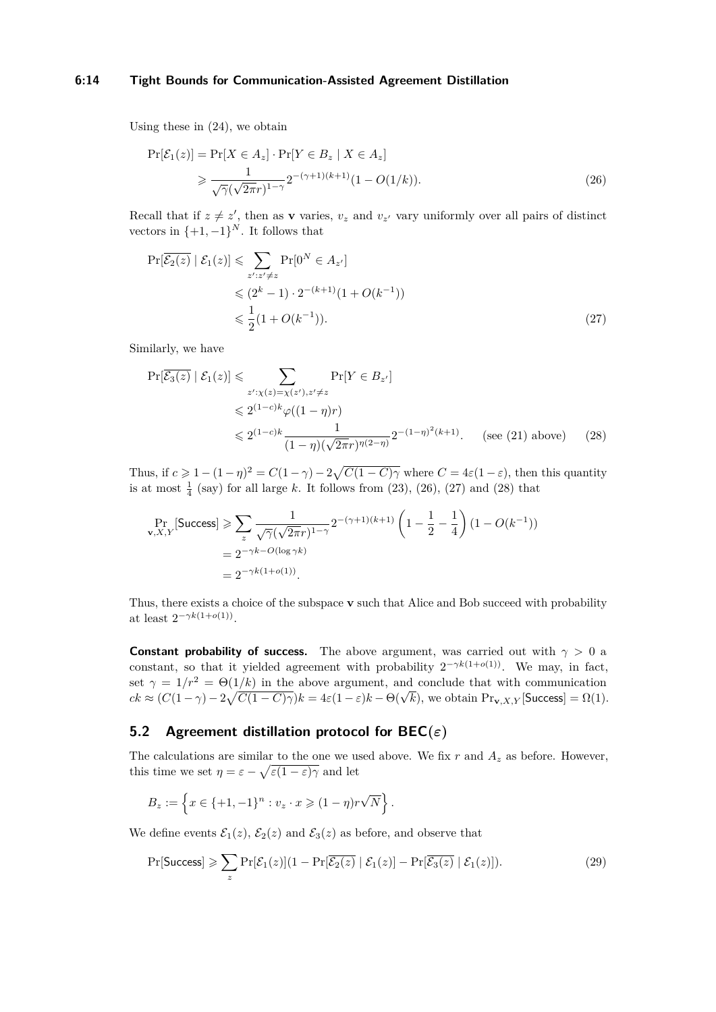## **6:14 Tight Bounds for Communication-Assisted Agreement Distillation**

Using these in [\(24\)](#page-12-1), we obtain

<span id="page-13-0"></span>
$$
\Pr[\mathcal{E}_1(z)] = \Pr[X \in A_z] \cdot \Pr[Y \in B_z \mid X \in A_z] \\
\geq \frac{1}{\sqrt{\gamma}(\sqrt{2\pi}r)^{1-\gamma}} 2^{-(\gamma+1)(k+1)} (1 - O(1/k)).\n\tag{26}
$$

Recall that if  $z \neq z'$ , then as **v** varies,  $v_z$  and  $v_{z'}$  vary uniformly over all pairs of distinct vectors in  $\{+1, -1\}^N$ . It follows that

<span id="page-13-1"></span>
$$
\Pr[\overline{\mathcal{E}_2(z)} \mid \mathcal{E}_1(z)] \leq \sum_{z': z' \neq z} \Pr[0^N \in A_{z'}]
$$
  
\$\leq (2^k - 1) \cdot 2^{-(k+1)} (1 + O(k^{-1}))\$  
\$\leq \frac{1}{2} (1 + O(k^{-1})).\tag{27}\$

Similarly, we have

<span id="page-13-2"></span>
$$
\Pr[\overline{\mathcal{E}_3(z)} \mid \mathcal{E}_1(z)] \leq \sum_{z':\chi(z)=\chi(z'),z'\neq z} \Pr[Y \in B_{z'}]
$$
  

$$
\leq 2^{(1-c)k} \varphi((1-\eta)r)
$$
  

$$
\leq 2^{(1-c)k} \frac{1}{(1-\eta)(\sqrt{2\pi}r)^{\eta(2-\eta)}} 2^{-(1-\eta)^2(k+1)}.
$$
 (see (21) above) (28)

Thus, if  $c \geq 1 - (1 - \eta)^2 = C(1 - \gamma) - 2\sqrt{C(1 - C)\gamma}$  where  $C = 4\varepsilon(1 - \varepsilon)$ , then this quantity is at most  $\frac{1}{4}$  (say) for all large *k*. It follows from [\(23\)](#page-12-3), [\(26\)](#page-13-0), [\(27\)](#page-13-1) and [\(28\)](#page-13-2) that

$$
\Pr_{\mathbf{v},X,Y}[\text{Success}] \ge \sum_{z} \frac{1}{\sqrt{\gamma}(\sqrt{2\pi}r)^{1-\gamma}} 2^{-(\gamma+1)(k+1)} \left(1 - \frac{1}{2} - \frac{1}{4}\right) (1 - O(k^{-1}))
$$
  
=  $2^{-\gamma k - O(\log \gamma k)}$   
=  $2^{-\gamma k(1+o(1))}$ .

Thus, there exists a choice of the subspace **v** such that Alice and Bob succeed with probability at least  $2^{-\gamma k(1+o(1))}$ .

**Constant probability of success.** The above argument, was carried out with  $\gamma > 0$  a constant, so that it yielded agreement with probability  $2^{-\gamma k(1+o(1))}$ . We may, in fact, set  $\gamma = 1/r^2 = \Theta(1/k)$  in the above argument, and conclude that with communication  $ck \approx (C(1-\gamma)-2\sqrt{C(1-C)\gamma})k = 4\varepsilon(1-\varepsilon)k - \Theta(\sqrt{k})$ , we obtain Pr<sub>v</sub>, *x*<sub>*N*</sub> [Success] =  $\Omega(1)$ .

# **5.2 Agreement distillation protocol for BEC(***ε***)**

The calculations are similar to the one we used above. We fix  $r$  and  $A_z$  as before. However, this time we set  $\eta = \varepsilon - \sqrt{\varepsilon(1-\varepsilon)}\overline{\gamma}$  and let

<span id="page-13-3"></span>
$$
B_z := \left\{ x \in \{+1, -1\}^n : v_z \cdot x \geq (1 - \eta) r \sqrt{N} \right\}.
$$

We define events  $\mathcal{E}_1(z)$ ,  $\mathcal{E}_2(z)$  and  $\mathcal{E}_3(z)$  as before, and observe that

$$
\Pr[\text{Success}] \geqslant \sum_{z} \Pr[\mathcal{E}_1(z)] (1 - \Pr[\overline{\mathcal{E}_2(z)} \mid \mathcal{E}_1(z)] - \Pr[\overline{\mathcal{E}_3(z)} \mid \mathcal{E}_1(z)]). \tag{29}
$$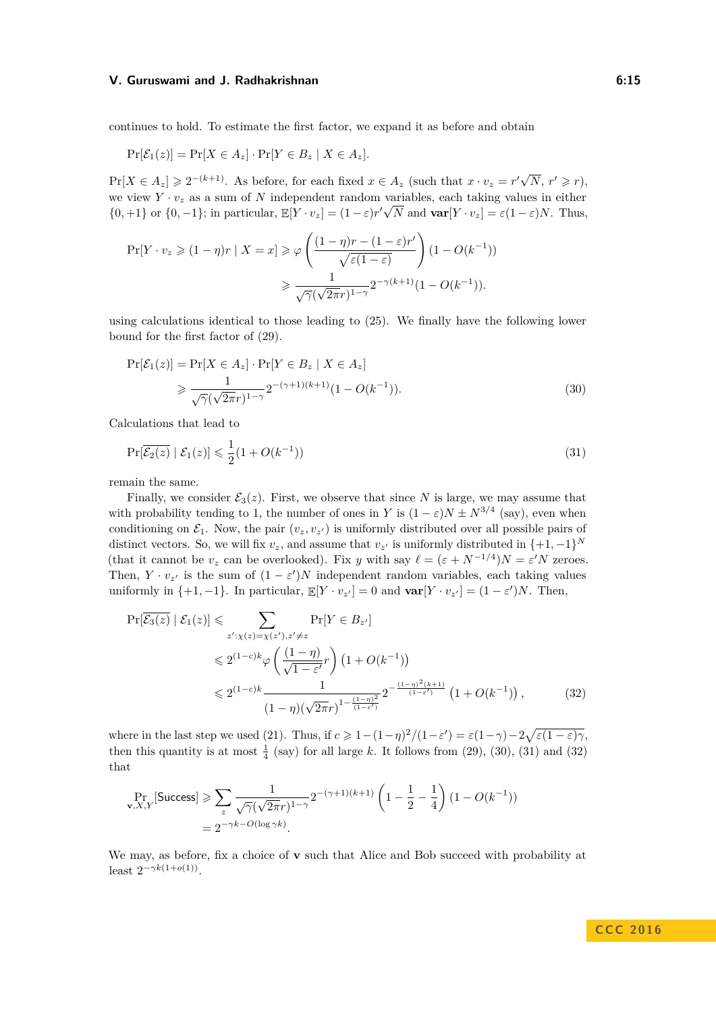#### **V. Guruswami and J. Radhakrishnan 6:15 6:15 6:15**

continues to hold. To estimate the first factor, we expand it as before and obtain

$$
\Pr[\mathcal{E}_1(z)] = \Pr[X \in A_z] \cdot \Pr[Y \in B_z \mid X \in A_z].
$$

 $Pr[X \in A_z] \geqslant 2^{-(k+1)}$ . As before, for each fixed  $x \in A_z$  (such that  $x \cdot v_z = r' \sqrt{2 \cdot r}$  $\overline{N}$ ,  $r' \geqslant r$ ), we view  $Y \cdot v_z$  as a sum of  $N$  independent random variables, each taking values in either  $\{0, +1\}$  or  $\{0, -1\}$ ; in particular,  $\mathbb{E}[Y \cdot v_z] = (1 - \varepsilon)r'\sqrt{N}$  and  $\text{var}[Y \cdot v_z] = \varepsilon(1 - \varepsilon)N$ . Thus,

$$
\Pr[Y \cdot v_z \ge (1 - \eta)r \mid X = x] \ge \varphi\left(\frac{(1 - \eta)r - (1 - \varepsilon)r'}{\sqrt{\varepsilon(1 - \varepsilon)}}\right)(1 - O(k^{-1}))
$$

$$
\ge \frac{1}{\sqrt{\gamma}(\sqrt{2\pi}r)^{1 - \gamma}} 2^{-\gamma(k+1)}(1 - O(k^{-1})).
$$

using calculations identical to those leading to [\(25\)](#page-12-4). We finally have the following lower bound for the first factor of [\(29\)](#page-13-3).

<span id="page-14-0"></span>
$$
\Pr[\mathcal{E}_1(z)] = \Pr[X \in A_z] \cdot \Pr[Y \in B_z \mid X \in A_z] \\
\geq \frac{1}{\sqrt{\gamma}(\sqrt{2\pi}r)^{1-\gamma}} 2^{-(\gamma+1)(k+1)} (1 - O(k^{-1})).\n\tag{30}
$$

Calculations that lead to

<span id="page-14-1"></span>
$$
\Pr[\overline{\mathcal{E}_2(z)} \mid \mathcal{E}_1(z)] \leq \frac{1}{2} (1 + O(k^{-1})) \tag{31}
$$

remain the same.

Finally, we consider  $\mathcal{E}_3(z)$ . First, we observe that since N is large, we may assume that with probability tending to 1, the number of ones in *Y* is  $(1 - \varepsilon)N \pm N^{3/4}$  (say), even when conditioning on  $\mathcal{E}_1$ . Now, the pair  $(v_z, v_{z'})$  is uniformly distributed over all possible pairs of distinct vectors. So, we will fix  $v_z$ , and assume that  $v_{z}$  is uniformly distributed in  $\{+1, -1\}^N$ (that it cannot be  $v_z$  can be overlooked). Fix *y* with say  $\ell = (\varepsilon + N^{-1/4})N = \varepsilon'N$  zeroes. Then,  $Y \cdot v_{z'}$  is the sum of  $(1 - \varepsilon')N$  independent random variables, each taking values uniformly in  $\{+1, -1\}$ . In particular,  $\mathbb{E}[Y \cdot v_{z'}] = 0$  and  $\text{var}[Y \cdot v_{z'}] = (1 - \varepsilon')N$ . Then,

<span id="page-14-2"></span>
$$
\Pr[\overline{\mathcal{E}_3(z)} \mid \mathcal{E}_1(z)] \leqslant \sum_{z':\chi(z)=\chi(z'),z'\neq z} \Pr[Y \in B_{z'}]
$$
\n
$$
\leqslant 2^{(1-c)k} \varphi\left(\frac{(1-\eta)}{\sqrt{1-\varepsilon'}}r\right) \left(1+O(k^{-1})\right)
$$
\n
$$
\leqslant 2^{(1-c)k} \frac{1}{(1-\eta)\left(\sqrt{2\pi}r\right)^{1-\frac{(1-\eta)^2}{(1-\varepsilon')}}} 2^{-\frac{(1-\eta)^2(k+1)}{(1-\varepsilon')}} \left(1+O(k^{-1})\right),\tag{32}
$$

where in the last step we used [\(21\)](#page-12-2). Thus, if  $c \geq 1 - (1 - \eta)^2/(1 - \varepsilon') = \varepsilon(1 - \gamma) - 2\sqrt{\varepsilon(1 - \varepsilon)\gamma}$ , then this quantity is at most  $\frac{1}{4}$  (say) for all large k. It follows from [\(29\)](#page-13-3), [\(30\)](#page-14-0), [\(31\)](#page-14-1) and [\(32\)](#page-14-2) that

$$
\Pr_{\mathbf{v}, X, Y}[\text{Success}] \ge \sum_{z} \frac{1}{\sqrt{\gamma}(\sqrt{2\pi}r)^{1-\gamma}} 2^{-(\gamma+1)(k+1)} \left(1 - \frac{1}{2} - \frac{1}{4}\right) (1 - O(k^{-1}))
$$
  
=  $2^{-\gamma k - O(\log \gamma k)}$ .

We may, as before, fix a choice of **v** such that Alice and Bob succeed with probability at least  $2^{-\gamma k(1+o(1))}$ .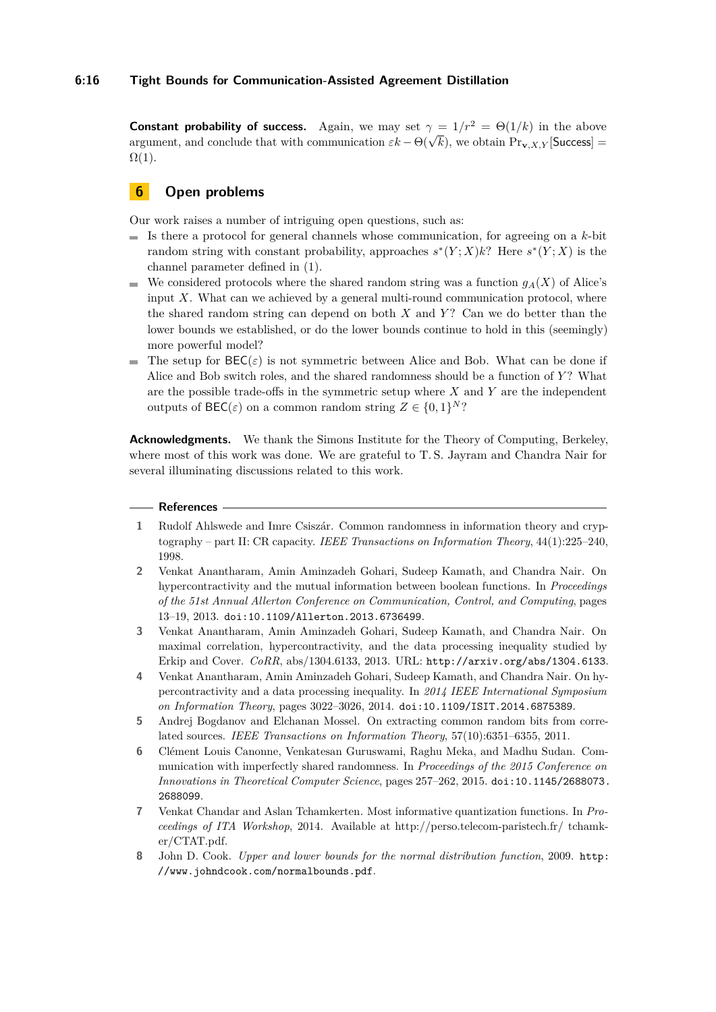**Constant probability of success.** Again, we may set  $\gamma = 1/r^2 = \Theta(1/k)$  in the above **Constant probability of success.** Again, we may set  $\gamma = 1/r = \Theta(1/\kappa)$  in the above argument, and conclude that with communication  $\varepsilon k - \Theta(\sqrt{k})$ , we obtain  $\Pr_{\mathbf{v},X,Y}[\text{Success}] =$  $\Omega(1)$ .

# **6 Open problems**

Our work raises a number of intriguing open questions, such as:

- $\blacksquare$  Is there a protocol for general channels whose communication, for agreeing on a  $k$ -bit random string with constant probability, approaches  $s^*(Y;X)k$ ? Here  $s^*(Y;X)$  is the channel parameter defined in [\(1\)](#page-5-0).
- We considered protocols where the shared random string was a function  $g_A(X)$  of Alice's  $\blacksquare$ input *X*. What can we achieved by a general multi-round communication protocol, where the shared random string can depend on both *X* and *Y* ? Can we do better than the lower bounds we established, or do the lower bounds continue to hold in this (seemingly) more powerful model?
- The setup for  $\text{BEC}(\varepsilon)$  is not symmetric between Alice and Bob. What can be done if Alice and Bob switch roles, and the shared randomness should be a function of *Y* ? What are the possible trade-offs in the symmetric setup where *X* and *Y* are the independent outputs of  $\text{BEC}(\varepsilon)$  on a common random string  $Z \in \{0,1\}^N$ ?

**Acknowledgments.** We thank the Simons Institute for the Theory of Computing, Berkeley, where most of this work was done. We are grateful to T. S. Jayram and Chandra Nair for several illuminating discussions related to this work.

## **References**

- <span id="page-15-2"></span>**1** Rudolf Ahlswede and Imre Csiszár. Common randomness in information theory and cryptography – part II: CR capacity. *IEEE Transactions on Information Theory*, 44(1):225–240, 1998.
- <span id="page-15-4"></span>**2** Venkat Anantharam, Amin Aminzadeh Gohari, Sudeep Kamath, and Chandra Nair. On hypercontractivity and the mutual information between boolean functions. In *Proceedings of the 51st Annual Allerton Conference on Communication, Control, and Computing*, pages 13–19, 2013. [doi:10.1109/Allerton.2013.6736499](http://dx.doi.org/10.1109/Allerton.2013.6736499).
- <span id="page-15-6"></span>**3** Venkat Anantharam, Amin Aminzadeh Gohari, Sudeep Kamath, and Chandra Nair. On maximal correlation, hypercontractivity, and the data processing inequality studied by Erkip and Cover. *CoRR*, abs/1304.6133, 2013. URL: <http://arxiv.org/abs/1304.6133>.
- <span id="page-15-5"></span>**4** Venkat Anantharam, Amin Aminzadeh Gohari, Sudeep Kamath, and Chandra Nair. On hypercontractivity and a data processing inequality. In *2014 IEEE International Symposium on Information Theory*, pages 3022–3026, 2014. [doi:10.1109/ISIT.2014.6875389](http://dx.doi.org/10.1109/ISIT.2014.6875389).
- <span id="page-15-0"></span>**5** Andrej Bogdanov and Elchanan Mossel. On extracting common random bits from correlated sources. *IEEE Transactions on Information Theory*, 57(10):6351–6355, 2011.
- <span id="page-15-1"></span>**6** Clément Louis Canonne, Venkatesan Guruswami, Raghu Meka, and Madhu Sudan. Communication with imperfectly shared randomness. In *Proceedings of the 2015 Conference on Innovations in Theoretical Computer Science*, pages 257–262, 2015. [doi:10.1145/2688073.](http://dx.doi.org/10.1145/2688073.2688099) [2688099](http://dx.doi.org/10.1145/2688073.2688099).
- <span id="page-15-3"></span>**7** Venkat Chandar and Aslan Tchamkerten. Most informative quantization functions. In *Proceedings of ITA Workshop*, 2014. Available at http://perso.telecom-paristech.fr/ tchamker/CTAT.pdf.
- <span id="page-15-7"></span>**8** John D. Cook. *Upper and lower bounds for the normal distribution function*, 2009. [http:](http://www.johndcook.com/normalbounds.pdf) [//www.johndcook.com/normalbounds.pdf](http://www.johndcook.com/normalbounds.pdf).